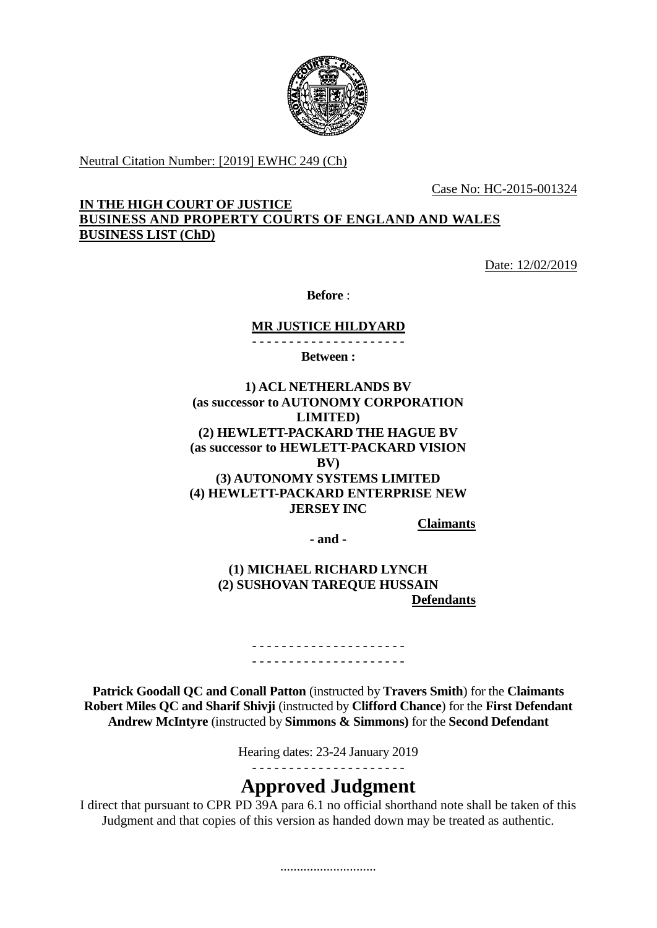

Neutral Citation Number: [2019] EWHC 249 (Ch)

Case No: HC-2015-001324

## **IN THE HIGH COURT OF JUSTICE BUSINESS AND PROPERTY COURTS OF ENGLAND AND WALES BUSINESS LIST (ChD)**

Date: 12/02/2019

**Before** :

**MR JUSTICE HILDYARD** - - - - - - - - - - - - - - - - - - - - -

**Between :**

**1) ACL NETHERLANDS BV (as successor to AUTONOMY CORPORATION LIMITED) (2) HEWLETT-PACKARD THE HAGUE BV (as successor to HEWLETT-PACKARD VISION BV) (3) AUTONOMY SYSTEMS LIMITED (4) HEWLETT-PACKARD ENTERPRISE NEW JERSEY INC**

**Claimants**

**- and -**

## **(1) MICHAEL RICHARD LYNCH (2) SUSHOVAN TAREQUE HUSSAIN Defendants**

- - - - - - - - - - - - - - - - - - - - - - - - - - - - - - - - - - - - - - - - - -

**Patrick Goodall QC and Conall Patton** (instructed by **Travers Smith**) for the **Claimants Robert Miles QC and Sharif Shivji** (instructed by **Clifford Chance**) for the **First Defendant Andrew McIntyre** (instructed by **Simmons & Simmons)** for the **Second Defendant**

Hearing dates: 23-24 January 2019

- - - - - - - - - - - - - - - - - - - - -

# **Approved Judgment**

I direct that pursuant to CPR PD 39A para 6.1 no official shorthand note shall be taken of this Judgment and that copies of this version as handed down may be treated as authentic.

.............................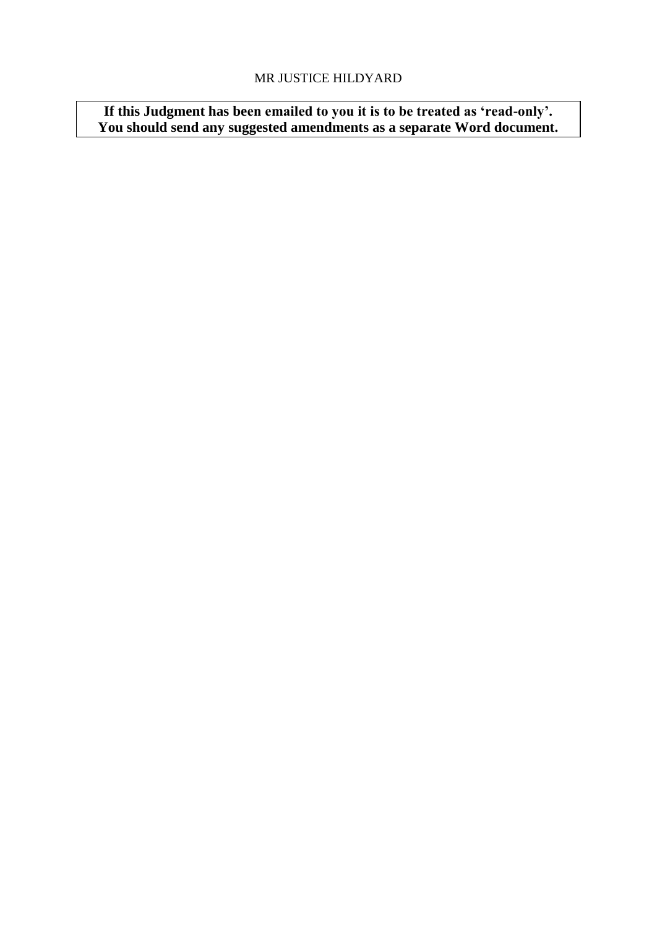## MR JUSTICE HILDYARD

**If this Judgment has been emailed to you it is to be treated as 'read-only'. You should send any suggested amendments as a separate Word document.**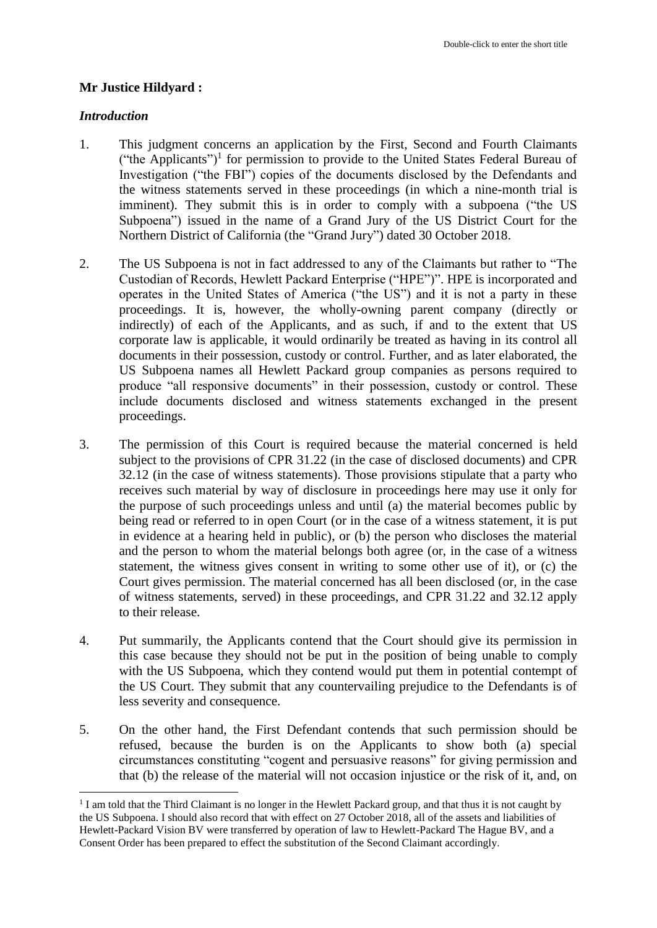## **Mr Justice Hildyard :**

### *Introduction*

1

- 1. This judgment concerns an application by the First, Second and Fourth Claimants ("the Applicants")<sup>1</sup> for permission to provide to the United States Federal Bureau of Investigation ("the FBI") copies of the documents disclosed by the Defendants and the witness statements served in these proceedings (in which a nine-month trial is imminent). They submit this is in order to comply with a subpoena ("the US Subpoena") issued in the name of a Grand Jury of the US District Court for the Northern District of California (the "Grand Jury") dated 30 October 2018.
- 2. The US Subpoena is not in fact addressed to any of the Claimants but rather to "The Custodian of Records, Hewlett Packard Enterprise ("HPE")". HPE is incorporated and operates in the United States of America ("the US") and it is not a party in these proceedings. It is, however, the wholly-owning parent company (directly or indirectly) of each of the Applicants, and as such, if and to the extent that US corporate law is applicable, it would ordinarily be treated as having in its control all documents in their possession, custody or control. Further, and as later elaborated, the US Subpoena names all Hewlett Packard group companies as persons required to produce "all responsive documents" in their possession, custody or control. These include documents disclosed and witness statements exchanged in the present proceedings.
- 3. The permission of this Court is required because the material concerned is held subject to the provisions of CPR 31.22 (in the case of disclosed documents) and CPR 32.12 (in the case of witness statements). Those provisions stipulate that a party who receives such material by way of disclosure in proceedings here may use it only for the purpose of such proceedings unless and until (a) the material becomes public by being read or referred to in open Court (or in the case of a witness statement, it is put in evidence at a hearing held in public), or (b) the person who discloses the material and the person to whom the material belongs both agree (or, in the case of a witness statement, the witness gives consent in writing to some other use of it), or (c) the Court gives permission. The material concerned has all been disclosed (or, in the case of witness statements, served) in these proceedings, and CPR 31.22 and 32.12 apply to their release.
- 4. Put summarily, the Applicants contend that the Court should give its permission in this case because they should not be put in the position of being unable to comply with the US Subpoena, which they contend would put them in potential contempt of the US Court. They submit that any countervailing prejudice to the Defendants is of less severity and consequence.
- 5. On the other hand, the First Defendant contends that such permission should be refused, because the burden is on the Applicants to show both (a) special circumstances constituting "cogent and persuasive reasons" for giving permission and that (b) the release of the material will not occasion injustice or the risk of it, and, on

<sup>&</sup>lt;sup>1</sup> I am told that the Third Claimant is no longer in the Hewlett Packard group, and that thus it is not caught by the US Subpoena. I should also record that with effect on 27 October 2018, all of the assets and liabilities of Hewlett-Packard Vision BV were transferred by operation of law to Hewlett-Packard The Hague BV, and a Consent Order has been prepared to effect the substitution of the Second Claimant accordingly.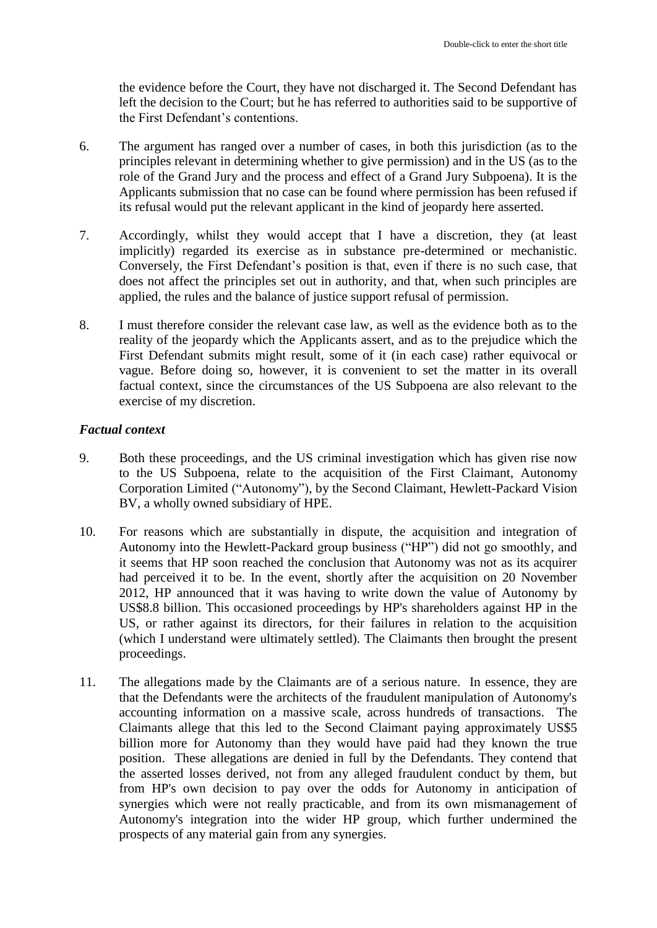the evidence before the Court, they have not discharged it. The Second Defendant has left the decision to the Court; but he has referred to authorities said to be supportive of the First Defendant's contentions.

- 6. The argument has ranged over a number of cases, in both this jurisdiction (as to the principles relevant in determining whether to give permission) and in the US (as to the role of the Grand Jury and the process and effect of a Grand Jury Subpoena). It is the Applicants submission that no case can be found where permission has been refused if its refusal would put the relevant applicant in the kind of jeopardy here asserted.
- 7. Accordingly, whilst they would accept that I have a discretion, they (at least implicitly) regarded its exercise as in substance pre-determined or mechanistic. Conversely, the First Defendant's position is that, even if there is no such case, that does not affect the principles set out in authority, and that, when such principles are applied, the rules and the balance of justice support refusal of permission.
- 8. I must therefore consider the relevant case law, as well as the evidence both as to the reality of the jeopardy which the Applicants assert, and as to the prejudice which the First Defendant submits might result, some of it (in each case) rather equivocal or vague. Before doing so, however, it is convenient to set the matter in its overall factual context, since the circumstances of the US Subpoena are also relevant to the exercise of my discretion.

## *Factual context*

- 9. Both these proceedings, and the US criminal investigation which has given rise now to the US Subpoena, relate to the acquisition of the First Claimant, Autonomy Corporation Limited ("Autonomy"), by the Second Claimant, Hewlett-Packard Vision BV, a wholly owned subsidiary of HPE.
- 10. For reasons which are substantially in dispute, the acquisition and integration of Autonomy into the Hewlett-Packard group business ("HP") did not go smoothly, and it seems that HP soon reached the conclusion that Autonomy was not as its acquirer had perceived it to be. In the event, shortly after the acquisition on 20 November 2012, HP announced that it was having to write down the value of Autonomy by US\$8.8 billion. This occasioned proceedings by HP's shareholders against HP in the US, or rather against its directors, for their failures in relation to the acquisition (which I understand were ultimately settled). The Claimants then brought the present proceedings.
- 11. The allegations made by the Claimants are of a serious nature. In essence, they are that the Defendants were the architects of the fraudulent manipulation of Autonomy's accounting information on a massive scale, across hundreds of transactions. The Claimants allege that this led to the Second Claimant paying approximately US\$5 billion more for Autonomy than they would have paid had they known the true position. These allegations are denied in full by the Defendants. They contend that the asserted losses derived, not from any alleged fraudulent conduct by them, but from HP's own decision to pay over the odds for Autonomy in anticipation of synergies which were not really practicable, and from its own mismanagement of Autonomy's integration into the wider HP group, which further undermined the prospects of any material gain from any synergies.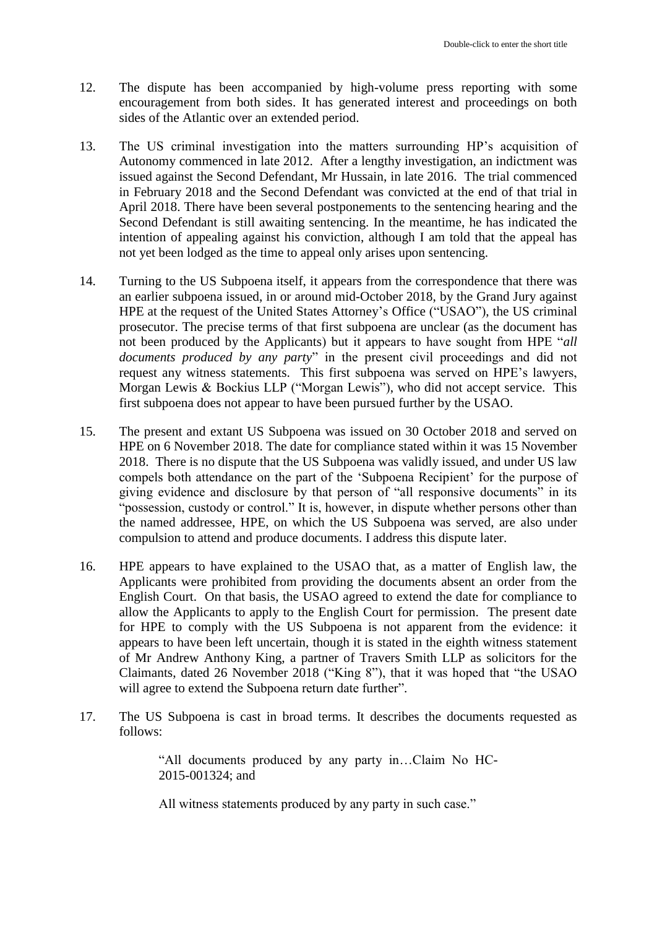- 12. The dispute has been accompanied by high-volume press reporting with some encouragement from both sides. It has generated interest and proceedings on both sides of the Atlantic over an extended period.
- 13. The US criminal investigation into the matters surrounding HP's acquisition of Autonomy commenced in late 2012. After a lengthy investigation, an indictment was issued against the Second Defendant, Mr Hussain, in late 2016. The trial commenced in February 2018 and the Second Defendant was convicted at the end of that trial in April 2018. There have been several postponements to the sentencing hearing and the Second Defendant is still awaiting sentencing. In the meantime, he has indicated the intention of appealing against his conviction, although I am told that the appeal has not yet been lodged as the time to appeal only arises upon sentencing.
- 14. Turning to the US Subpoena itself, it appears from the correspondence that there was an earlier subpoena issued, in or around mid-October 2018, by the Grand Jury against HPE at the request of the United States Attorney's Office ("USAO"), the US criminal prosecutor. The precise terms of that first subpoena are unclear (as the document has not been produced by the Applicants) but it appears to have sought from HPE "*all documents produced by any party*" in the present civil proceedings and did not request any witness statements. This first subpoena was served on HPE's lawyers, Morgan Lewis & Bockius LLP ("Morgan Lewis"), who did not accept service. This first subpoena does not appear to have been pursued further by the USAO.
- 15. The present and extant US Subpoena was issued on 30 October 2018 and served on HPE on 6 November 2018. The date for compliance stated within it was 15 November 2018. There is no dispute that the US Subpoena was validly issued, and under US law compels both attendance on the part of the 'Subpoena Recipient' for the purpose of giving evidence and disclosure by that person of "all responsive documents" in its "possession, custody or control." It is, however, in dispute whether persons other than the named addressee, HPE, on which the US Subpoena was served, are also under compulsion to attend and produce documents. I address this dispute later.
- 16. HPE appears to have explained to the USAO that, as a matter of English law, the Applicants were prohibited from providing the documents absent an order from the English Court. On that basis, the USAO agreed to extend the date for compliance to allow the Applicants to apply to the English Court for permission. The present date for HPE to comply with the US Subpoena is not apparent from the evidence: it appears to have been left uncertain, though it is stated in the eighth witness statement of Mr Andrew Anthony King, a partner of Travers Smith LLP as solicitors for the Claimants, dated 26 November 2018 ("King 8"), that it was hoped that "the USAO will agree to extend the Subpoena return date further".
- 17. The US Subpoena is cast in broad terms. It describes the documents requested as follows:

"All documents produced by any party in…Claim No HC-2015-001324; and

All witness statements produced by any party in such case."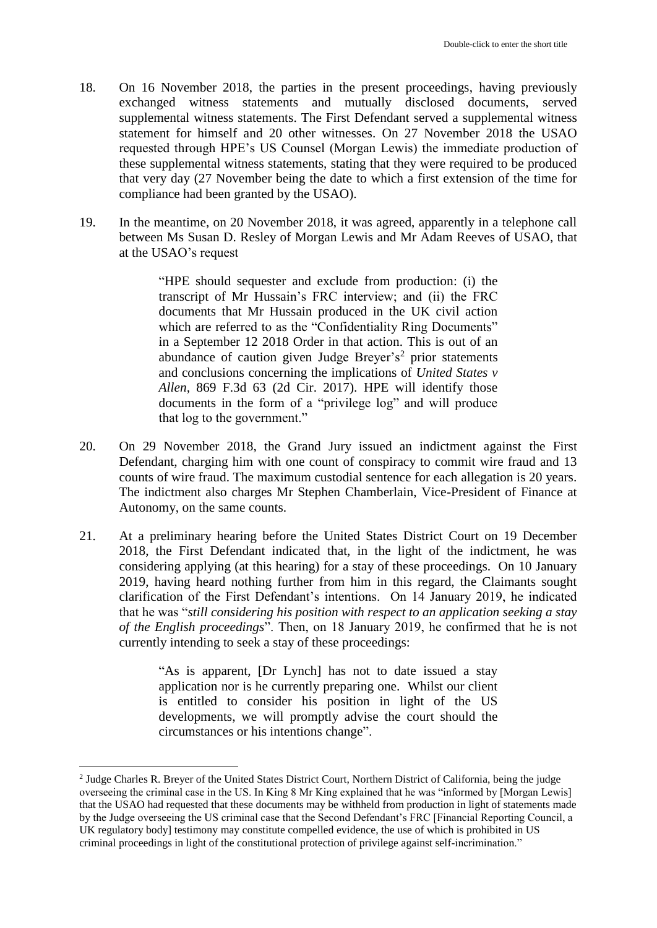- 18. On 16 November 2018, the parties in the present proceedings, having previously exchanged witness statements and mutually disclosed documents, served supplemental witness statements. The First Defendant served a supplemental witness statement for himself and 20 other witnesses. On 27 November 2018 the USAO requested through HPE's US Counsel (Morgan Lewis) the immediate production of these supplemental witness statements, stating that they were required to be produced that very day (27 November being the date to which a first extension of the time for compliance had been granted by the USAO).
- 19. In the meantime, on 20 November 2018, it was agreed, apparently in a telephone call between Ms Susan D. Resley of Morgan Lewis and Mr Adam Reeves of USAO, that at the USAO's request

"HPE should sequester and exclude from production: (i) the transcript of Mr Hussain's FRC interview; and (ii) the FRC documents that Mr Hussain produced in the UK civil action which are referred to as the "Confidentiality Ring Documents" in a September 12 2018 Order in that action. This is out of an abundance of caution given Judge Breyer's<sup>2</sup> prior statements and conclusions concerning the implications of *United States v Allen,* 869 F.3d 63 (2d Cir. 2017). HPE will identify those documents in the form of a "privilege log" and will produce that log to the government."

- 20. On 29 November 2018, the Grand Jury issued an indictment against the First Defendant, charging him with one count of conspiracy to commit wire fraud and 13 counts of wire fraud. The maximum custodial sentence for each allegation is 20 years. The indictment also charges Mr Stephen Chamberlain, Vice-President of Finance at Autonomy, on the same counts.
- 21. At a preliminary hearing before the United States District Court on 19 December 2018, the First Defendant indicated that, in the light of the indictment, he was considering applying (at this hearing) for a stay of these proceedings. On 10 January 2019, having heard nothing further from him in this regard, the Claimants sought clarification of the First Defendant's intentions. On 14 January 2019, he indicated that he was "*still considering his position with respect to an application seeking a stay of the English proceedings*". Then, on 18 January 2019, he confirmed that he is not currently intending to seek a stay of these proceedings:

"As is apparent, [Dr Lynch] has not to date issued a stay application nor is he currently preparing one. Whilst our client is entitled to consider his position in light of the US developments, we will promptly advise the court should the circumstances or his intentions change".

1

<sup>&</sup>lt;sup>2</sup> Judge Charles R. Breyer of the United States District Court, Northern District of California, being the judge overseeing the criminal case in the US. In King 8 Mr King explained that he was "informed by [Morgan Lewis] that the USAO had requested that these documents may be withheld from production in light of statements made by the Judge overseeing the US criminal case that the Second Defendant's FRC [Financial Reporting Council, a UK regulatory body] testimony may constitute compelled evidence, the use of which is prohibited in US criminal proceedings in light of the constitutional protection of privilege against self-incrimination."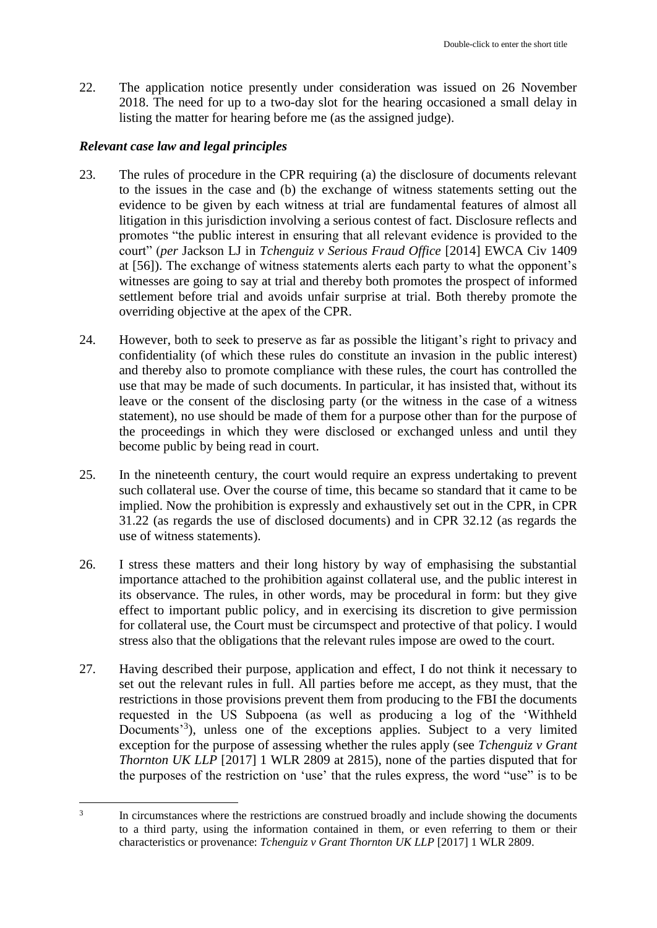22. The application notice presently under consideration was issued on 26 November 2018. The need for up to a two-day slot for the hearing occasioned a small delay in listing the matter for hearing before me (as the assigned judge).

#### *Relevant case law and legal principles*

- 23. The rules of procedure in the CPR requiring (a) the disclosure of documents relevant to the issues in the case and (b) the exchange of witness statements setting out the evidence to be given by each witness at trial are fundamental features of almost all litigation in this jurisdiction involving a serious contest of fact. Disclosure reflects and promotes "the public interest in ensuring that all relevant evidence is provided to the court" (*per* Jackson LJ in *Tchenguiz v Serious Fraud Office* [2014] EWCA Civ 1409 at [56]). The exchange of witness statements alerts each party to what the opponent's witnesses are going to say at trial and thereby both promotes the prospect of informed settlement before trial and avoids unfair surprise at trial. Both thereby promote the overriding objective at the apex of the CPR.
- 24. However, both to seek to preserve as far as possible the litigant's right to privacy and confidentiality (of which these rules do constitute an invasion in the public interest) and thereby also to promote compliance with these rules, the court has controlled the use that may be made of such documents. In particular, it has insisted that, without its leave or the consent of the disclosing party (or the witness in the case of a witness statement), no use should be made of them for a purpose other than for the purpose of the proceedings in which they were disclosed or exchanged unless and until they become public by being read in court.
- 25. In the nineteenth century, the court would require an express undertaking to prevent such collateral use. Over the course of time, this became so standard that it came to be implied. Now the prohibition is expressly and exhaustively set out in the CPR, in CPR 31.22 (as regards the use of disclosed documents) and in CPR 32.12 (as regards the use of witness statements).
- 26. I stress these matters and their long history by way of emphasising the substantial importance attached to the prohibition against collateral use, and the public interest in its observance. The rules, in other words, may be procedural in form: but they give effect to important public policy, and in exercising its discretion to give permission for collateral use, the Court must be circumspect and protective of that policy. I would stress also that the obligations that the relevant rules impose are owed to the court.
- 27. Having described their purpose, application and effect, I do not think it necessary to set out the relevant rules in full. All parties before me accept, as they must, that the restrictions in those provisions prevent them from producing to the FBI the documents requested in the US Subpoena (as well as producing a log of the 'Withheld Documents<sup>3</sup>), unless one of the exceptions applies. Subject to a very limited exception for the purpose of assessing whether the rules apply (see *Tchenguiz v Grant Thornton UK LLP* [2017] 1 WLR 2809 at 2815), none of the parties disputed that for the purposes of the restriction on 'use' that the rules express, the word "use" is to be

<sup>1</sup> 3 In circumstances where the restrictions are construed broadly and include showing the documents to a third party, using the information contained in them, or even referring to them or their characteristics or provenance: *Tchenguiz v Grant Thornton UK LLP* [2017] 1 WLR 2809.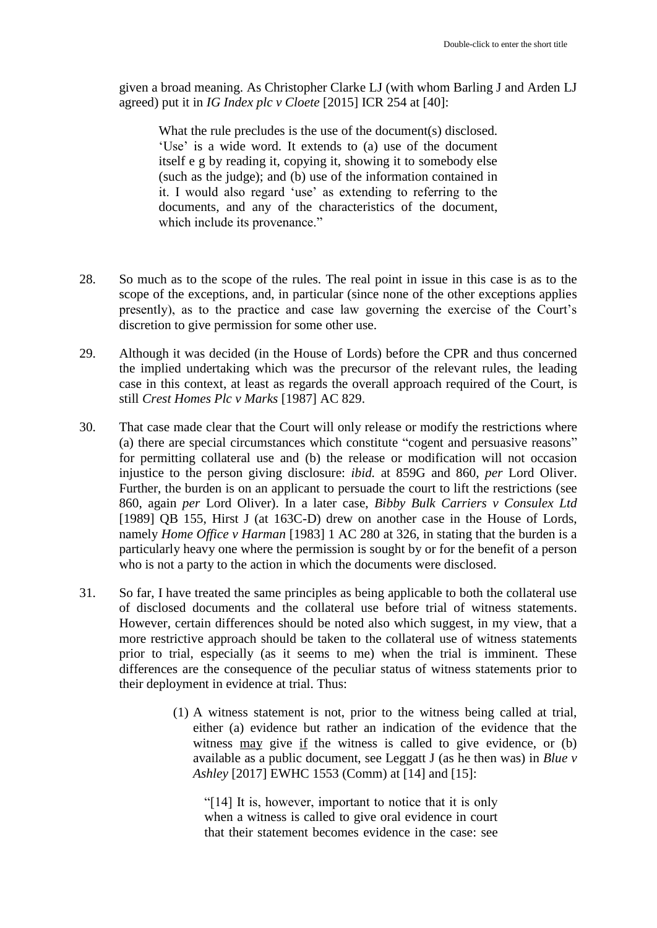given a broad meaning. As Christopher Clarke LJ (with whom Barling J and Arden LJ agreed) put it in *IG Index plc v Cloete* [2015] ICR 254 at [40]:

What the rule precludes is the use of the document(s) disclosed. 'Use' is a wide word. It extends to (a) use of the document itself e g by reading it, copying it, showing it to somebody else (such as the judge); and (b) use of the information contained in it. I would also regard 'use' as extending to referring to the documents, and any of the characteristics of the document, which include its provenance."

- 28. So much as to the scope of the rules. The real point in issue in this case is as to the scope of the exceptions, and, in particular (since none of the other exceptions applies presently), as to the practice and case law governing the exercise of the Court's discretion to give permission for some other use.
- 29. Although it was decided (in the House of Lords) before the CPR and thus concerned the implied undertaking which was the precursor of the relevant rules, the leading case in this context, at least as regards the overall approach required of the Court, is still *Crest Homes Plc v Marks* [1987] AC 829.
- 30. That case made clear that the Court will only release or modify the restrictions where (a) there are special circumstances which constitute "cogent and persuasive reasons" for permitting collateral use and (b) the release or modification will not occasion injustice to the person giving disclosure: *ibid.* at 859G and 860, *per* Lord Oliver. Further, the burden is on an applicant to persuade the court to lift the restrictions (see 860, again *per* Lord Oliver). In a later case, *Bibby Bulk Carriers v Consulex Ltd*  [1989] QB 155, Hirst J (at 163C-D) drew on another case in the House of Lords, namely *Home Office v Harman* [1983] 1 AC 280 at 326, in stating that the burden is a particularly heavy one where the permission is sought by or for the benefit of a person who is not a party to the action in which the documents were disclosed.
- 31. So far, I have treated the same principles as being applicable to both the collateral use of disclosed documents and the collateral use before trial of witness statements. However, certain differences should be noted also which suggest, in my view, that a more restrictive approach should be taken to the collateral use of witness statements prior to trial, especially (as it seems to me) when the trial is imminent. These differences are the consequence of the peculiar status of witness statements prior to their deployment in evidence at trial. Thus:
	- (1) A witness statement is not, prior to the witness being called at trial, either (a) evidence but rather an indication of the evidence that the witness may give if the witness is called to give evidence, or (b) available as a public document, see Leggatt J (as he then was) in *Blue v Ashley* [2017] EWHC 1553 (Comm) at [14] and [15]:

"[14] It is, however, important to notice that it is only when a witness is called to give oral evidence in court that their statement becomes evidence in the case: see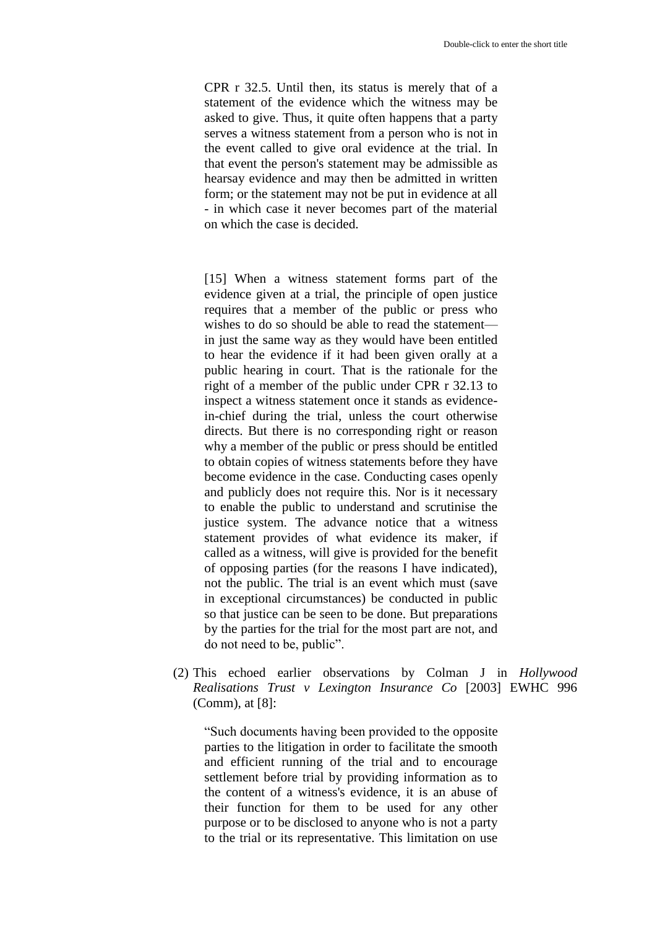CPR r 32.5. Until then, its status is merely that of a statement of the evidence which the witness may be asked to give. Thus, it quite often happens that a party serves a witness statement from a person who is not in the event called to give oral evidence at the trial. In that event the person's statement may be admissible as hearsay evidence and may then be admitted in written form; or the statement may not be put in evidence at all - in which case it never becomes part of the material on which the case is decided.

[15] When a witness statement forms part of the evidence given at a trial, the principle of open justice requires that a member of the public or press who wishes to do so should be able to read the statement in just the same way as they would have been entitled to hear the evidence if it had been given orally at a public hearing in court. That is the rationale for the right of a member of the public under CPR r 32.13 to inspect a witness statement once it stands as evidencein-chief during the trial, unless the court otherwise directs. But there is no corresponding right or reason why a member of the public or press should be entitled to obtain copies of witness statements before they have become evidence in the case. Conducting cases openly and publicly does not require this. Nor is it necessary to enable the public to understand and scrutinise the justice system. The advance notice that a witness statement provides of what evidence its maker, if called as a witness, will give is provided for the benefit of opposing parties (for the reasons I have indicated), not the public. The trial is an event which must (save in exceptional circumstances) be conducted in public so that justice can be seen to be done. But preparations by the parties for the trial for the most part are not, and do not need to be, public".

(2) This echoed earlier observations by Colman J in *Hollywood Realisations Trust v Lexington Insurance Co* [2003] EWHC 996 (Comm), at [8]:

"Such documents having been provided to the opposite parties to the litigation in order to facilitate the smooth and efficient running of the trial and to encourage settlement before trial by providing information as to the content of a witness's evidence, it is an abuse of their function for them to be used for any other purpose or to be disclosed to anyone who is not a party to the trial or its representative. This limitation on use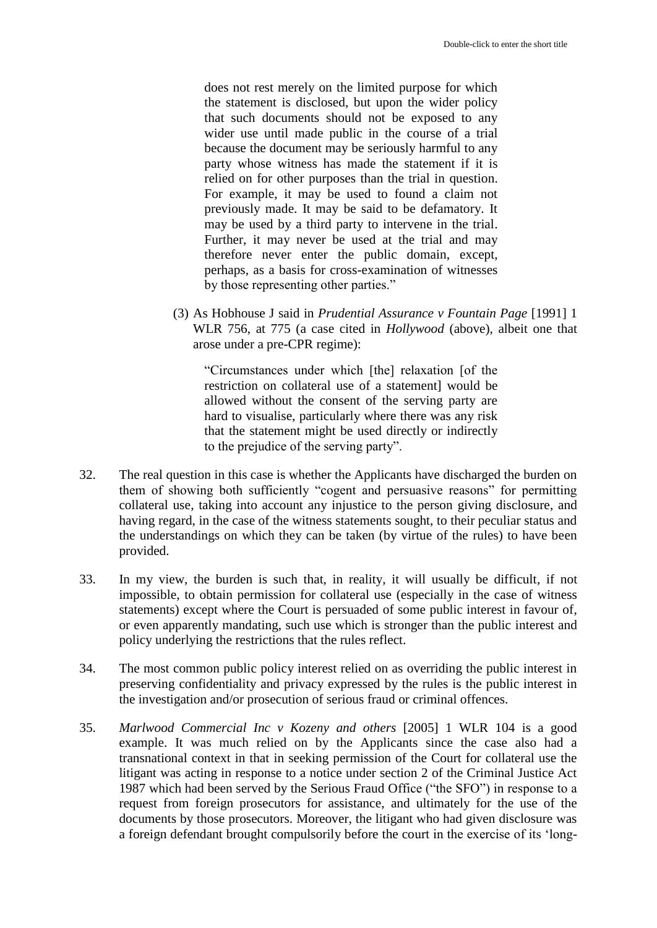does not rest merely on the limited purpose for which the statement is disclosed, but upon the wider policy that such documents should not be exposed to any wider use until made public in the course of a trial because the document may be seriously harmful to any party whose witness has made the statement if it is relied on for other purposes than the trial in question. For example, it may be used to found a claim not previously made. It may be said to be defamatory. It may be used by a third party to intervene in the trial. Further, it may never be used at the trial and may therefore never enter the public domain, except, perhaps, as a basis for cross-examination of witnesses by those representing other parties."

(3) As Hobhouse J said in *Prudential Assurance v Fountain Page* [1991] 1 WLR 756, at 775 (a case cited in *Hollywood* (above), albeit one that arose under a pre-CPR regime):

"Circumstances under which [the] relaxation [of the restriction on collateral use of a statement] would be allowed without the consent of the serving party are hard to visualise, particularly where there was any risk that the statement might be used directly or indirectly to the prejudice of the serving party".

- 32. The real question in this case is whether the Applicants have discharged the burden on them of showing both sufficiently "cogent and persuasive reasons" for permitting collateral use, taking into account any injustice to the person giving disclosure, and having regard, in the case of the witness statements sought, to their peculiar status and the understandings on which they can be taken (by virtue of the rules) to have been provided.
- 33. In my view, the burden is such that, in reality, it will usually be difficult, if not impossible, to obtain permission for collateral use (especially in the case of witness statements) except where the Court is persuaded of some public interest in favour of, or even apparently mandating, such use which is stronger than the public interest and policy underlying the restrictions that the rules reflect.
- 34. The most common public policy interest relied on as overriding the public interest in preserving confidentiality and privacy expressed by the rules is the public interest in the investigation and/or prosecution of serious fraud or criminal offences.
- 35. *Marlwood Commercial Inc v Kozeny and others* [2005] 1 WLR 104 is a good example. It was much relied on by the Applicants since the case also had a transnational context in that in seeking permission of the Court for collateral use the litigant was acting in response to a notice under section 2 of the Criminal Justice Act 1987 which had been served by the Serious Fraud Office ("the SFO") in response to a request from foreign prosecutors for assistance, and ultimately for the use of the documents by those prosecutors. Moreover, the litigant who had given disclosure was a foreign defendant brought compulsorily before the court in the exercise of its 'long-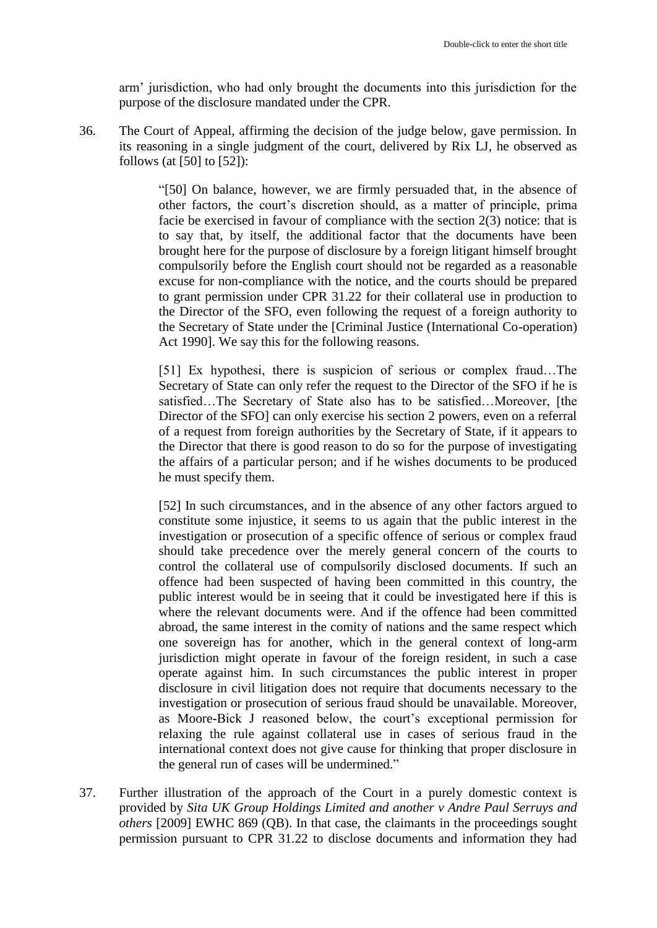arm' jurisdiction, who had only brought the documents into this jurisdiction for the purpose of the disclosure mandated under the CPR.

36. The Court of Appeal, affirming the decision of the judge below, gave permission. In its reasoning in a single judgment of the court, delivered by Rix LJ, he observed as follows (at [50] to [52]):

> "[50] On balance, however, we are firmly persuaded that, in the absence of other factors, the court's discretion should, as a matter of principle, prima facie be exercised in favour of compliance with the section 2(3) notice: that is to say that, by itself, the additional factor that the documents have been brought here for the purpose of disclosure by a foreign litigant himself brought compulsorily before the English court should not be regarded as a reasonable excuse for non-compliance with the notice, and the courts should be prepared to grant permission under CPR 31.22 for their collateral use in production to the Director of the SFO, even following the request of a foreign authority to the Secretary of State under the [Criminal Justice (International Co-operation) Act 1990]. We say this for the following reasons.

> [51] Ex hypothesi, there is suspicion of serious or complex fraud…The Secretary of State can only refer the request to the Director of the SFO if he is satisfied…The Secretary of State also has to be satisfied…Moreover, [the Director of the SFO] can only exercise his section 2 powers, even on a referral of a request from foreign authorities by the Secretary of State, if it appears to the Director that there is good reason to do so for the purpose of investigating the affairs of a particular person; and if he wishes documents to be produced he must specify them.

> [52] In such circumstances, and in the absence of any other factors argued to constitute some injustice, it seems to us again that the public interest in the investigation or prosecution of a specific offence of serious or complex fraud should take precedence over the merely general concern of the courts to control the collateral use of compulsorily disclosed documents. If such an offence had been suspected of having been committed in this country, the public interest would be in seeing that it could be investigated here if this is where the relevant documents were. And if the offence had been committed abroad, the same interest in the comity of nations and the same respect which one sovereign has for another, which in the general context of long-arm jurisdiction might operate in favour of the foreign resident, in such a case operate against him. In such circumstances the public interest in proper disclosure in civil litigation does not require that documents necessary to the investigation or prosecution of serious fraud should be unavailable. Moreover, as Moore-Bick J reasoned below, the court's exceptional permission for relaxing the rule against collateral use in cases of serious fraud in the international context does not give cause for thinking that proper disclosure in the general run of cases will be undermined."

37. Further illustration of the approach of the Court in a purely domestic context is provided by *Sita UK Group Holdings Limited and another v Andre Paul Serruys and others* [2009] EWHC 869 (QB). In that case, the claimants in the proceedings sought permission pursuant to CPR 31.22 to disclose documents and information they had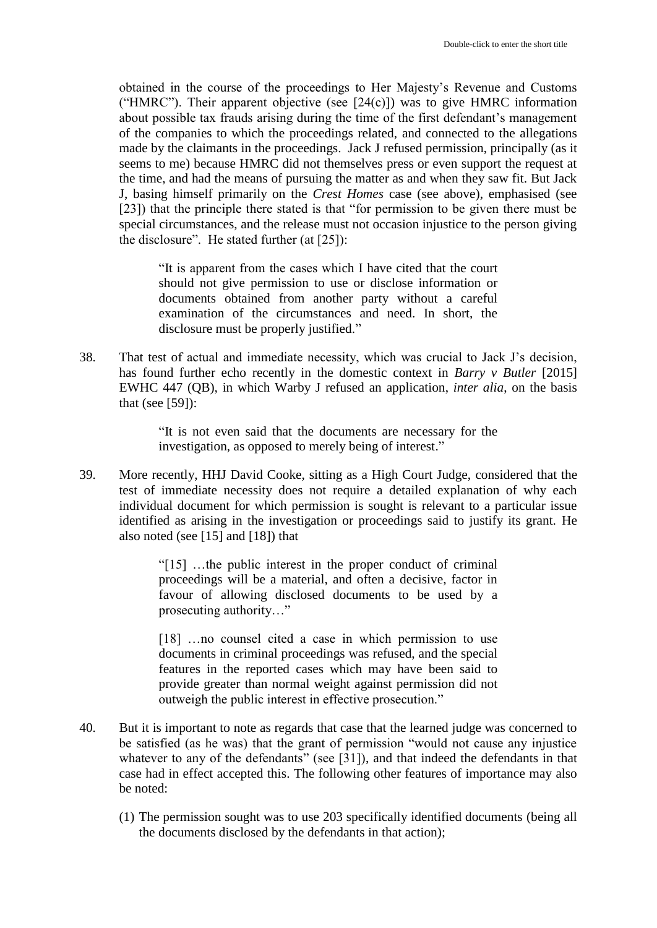obtained in the course of the proceedings to Her Majesty's Revenue and Customs ("HMRC"). Their apparent objective (see  $[24(c)]$ ) was to give HMRC information about possible tax frauds arising during the time of the first defendant's management of the companies to which the proceedings related, and connected to the allegations made by the claimants in the proceedings. Jack J refused permission, principally (as it seems to me) because HMRC did not themselves press or even support the request at the time, and had the means of pursuing the matter as and when they saw fit. But Jack J, basing himself primarily on the *Crest Homes* case (see above), emphasised (see [23]) that the principle there stated is that "for permission to be given there must be special circumstances, and the release must not occasion injustice to the person giving the disclosure". He stated further (at [25]):

"It is apparent from the cases which I have cited that the court should not give permission to use or disclose information or documents obtained from another party without a careful examination of the circumstances and need. In short, the disclosure must be properly justified."

38. That test of actual and immediate necessity, which was crucial to Jack J's decision, has found further echo recently in the domestic context in *Barry v Butler* [2015] EWHC 447 (QB), in which Warby J refused an application, *inter alia*, on the basis that (see [59]):

> "It is not even said that the documents are necessary for the investigation, as opposed to merely being of interest."

39. More recently, HHJ David Cooke, sitting as a High Court Judge, considered that the test of immediate necessity does not require a detailed explanation of why each individual document for which permission is sought is relevant to a particular issue identified as arising in the investigation or proceedings said to justify its grant. He also noted (see [15] and [18]) that

> "[15] …the public interest in the proper conduct of criminal proceedings will be a material, and often a decisive, factor in favour of allowing disclosed documents to be used by a prosecuting authority…"

> [18] …no counsel cited a case in which permission to use documents in criminal proceedings was refused, and the special features in the reported cases which may have been said to provide greater than normal weight against permission did not outweigh the public interest in effective prosecution."

- 40. But it is important to note as regards that case that the learned judge was concerned to be satisfied (as he was) that the grant of permission "would not cause any injustice whatever to any of the defendants" (see [31]), and that indeed the defendants in that case had in effect accepted this. The following other features of importance may also be noted:
	- (1) The permission sought was to use 203 specifically identified documents (being all the documents disclosed by the defendants in that action);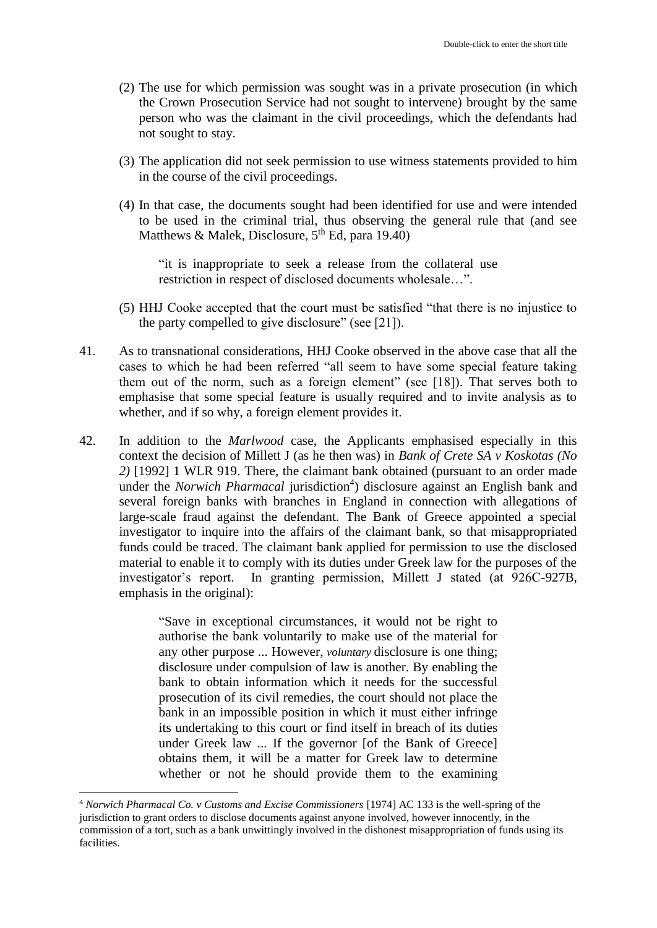- (2) The use for which permission was sought was in a private prosecution (in which the Crown Prosecution Service had not sought to intervene) brought by the same person who was the claimant in the civil proceedings, which the defendants had not sought to stay.
- (3) The application did not seek permission to use witness statements provided to him in the course of the civil proceedings.
- (4) In that case, the documents sought had been identified for use and were intended to be used in the criminal trial, thus observing the general rule that (and see Matthews & Malek, Disclosure,  $5<sup>th</sup>$  Ed, para 19.40)

"it is inappropriate to seek a release from the collateral use restriction in respect of disclosed documents wholesale…".

- (5) HHJ Cooke accepted that the court must be satisfied "that there is no injustice to the party compelled to give disclosure" (see [21]).
- 41. As to transnational considerations, HHJ Cooke observed in the above case that all the cases to which he had been referred "all seem to have some special feature taking them out of the norm, such as a foreign element" (see [18]). That serves both to emphasise that some special feature is usually required and to invite analysis as to whether, and if so why, a foreign element provides it.
- 42. In addition to the *Marlwood* case, the Applicants emphasised especially in this context the decision of Millett J (as he then was) in *Bank of Crete SA v Koskotas (No 2)* [1992] 1 WLR 919. There, the claimant bank obtained (pursuant to an order made under the *Norwich Pharmacal* jurisdiction<sup>4</sup>) disclosure against an English bank and several foreign banks with branches in England in connection with allegations of large-scale fraud against the defendant. The Bank of Greece appointed a special investigator to inquire into the affairs of the claimant bank, so that misappropriated funds could be traced. The claimant bank applied for permission to use the disclosed material to enable it to comply with its duties under Greek law for the purposes of the investigator's report. In granting permission, Millett J stated (at 926C-927B, emphasis in the original):

"Save in exceptional circumstances, it would not be right to authorise the bank voluntarily to make use of the material for any other purpose ... However, *voluntary* disclosure is one thing; disclosure under compulsion of law is another. By enabling the bank to obtain information which it needs for the successful prosecution of its civil remedies, the court should not place the bank in an impossible position in which it must either infringe its undertaking to this court or find itself in breach of its duties under Greek law ... If the governor [of the Bank of Greece] obtains them, it will be a matter for Greek law to determine whether or not he should provide them to the examining

1

<sup>4</sup> *Norwich Pharmacal Co. v Customs and Excise Commissioners* [1974] AC 133 is the well-spring of the jurisdiction to grant orders to disclose documents against anyone involved, however innocently, in the commission of a tort, such as a bank unwittingly involved in the dishonest misappropriation of funds using its facilities.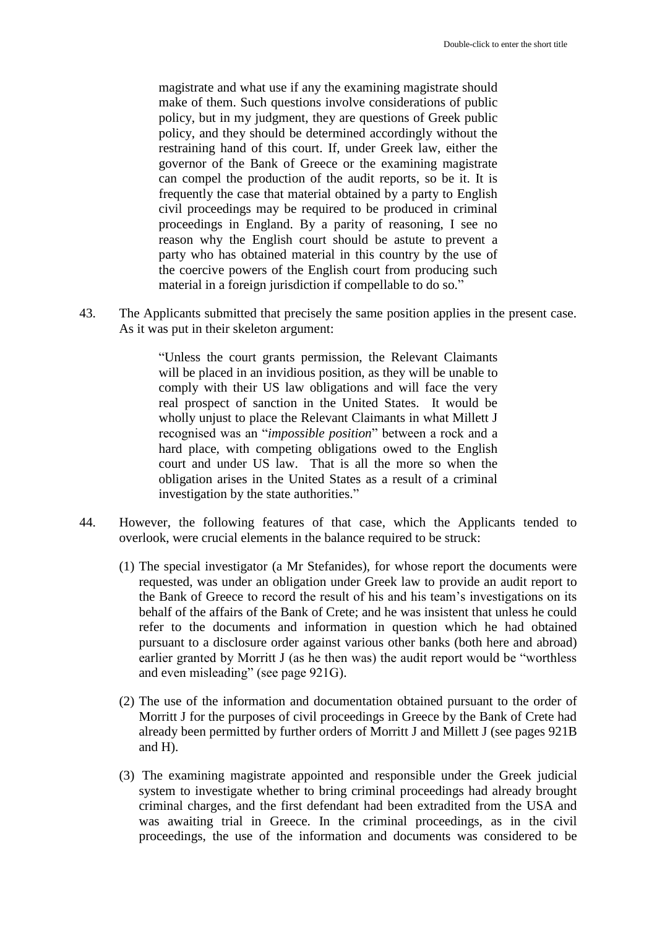magistrate and what use if any the examining magistrate should make of them. Such questions involve considerations of public policy, but in my judgment, they are questions of Greek public policy, and they should be determined accordingly without the restraining hand of this court. If, under Greek law, either the governor of the Bank of Greece or the examining magistrate can compel the production of the audit reports, so be it. It is frequently the case that material obtained by a party to English civil proceedings may be required to be produced in criminal proceedings in England. By a parity of reasoning, I see no reason why the English court should be astute to prevent a party who has obtained material in this country by the use of the coercive powers of the English court from producing such material in a foreign jurisdiction if compellable to do so."

43. The Applicants submitted that precisely the same position applies in the present case. As it was put in their skeleton argument:

> "Unless the court grants permission, the Relevant Claimants will be placed in an invidious position, as they will be unable to comply with their US law obligations and will face the very real prospect of sanction in the United States. It would be wholly unjust to place the Relevant Claimants in what Millett J recognised was an "*impossible position*" between a rock and a hard place, with competing obligations owed to the English court and under US law. That is all the more so when the obligation arises in the United States as a result of a criminal investigation by the state authorities."

- 44. However, the following features of that case, which the Applicants tended to overlook, were crucial elements in the balance required to be struck:
	- (1) The special investigator (a Mr Stefanides), for whose report the documents were requested, was under an obligation under Greek law to provide an audit report to the Bank of Greece to record the result of his and his team's investigations on its behalf of the affairs of the Bank of Crete; and he was insistent that unless he could refer to the documents and information in question which he had obtained pursuant to a disclosure order against various other banks (both here and abroad) earlier granted by Morritt J (as he then was) the audit report would be "worthless and even misleading" (see page 921G).
	- (2) The use of the information and documentation obtained pursuant to the order of Morritt J for the purposes of civil proceedings in Greece by the Bank of Crete had already been permitted by further orders of Morritt J and Millett J (see pages 921B and H).
	- (3) The examining magistrate appointed and responsible under the Greek judicial system to investigate whether to bring criminal proceedings had already brought criminal charges, and the first defendant had been extradited from the USA and was awaiting trial in Greece. In the criminal proceedings, as in the civil proceedings, the use of the information and documents was considered to be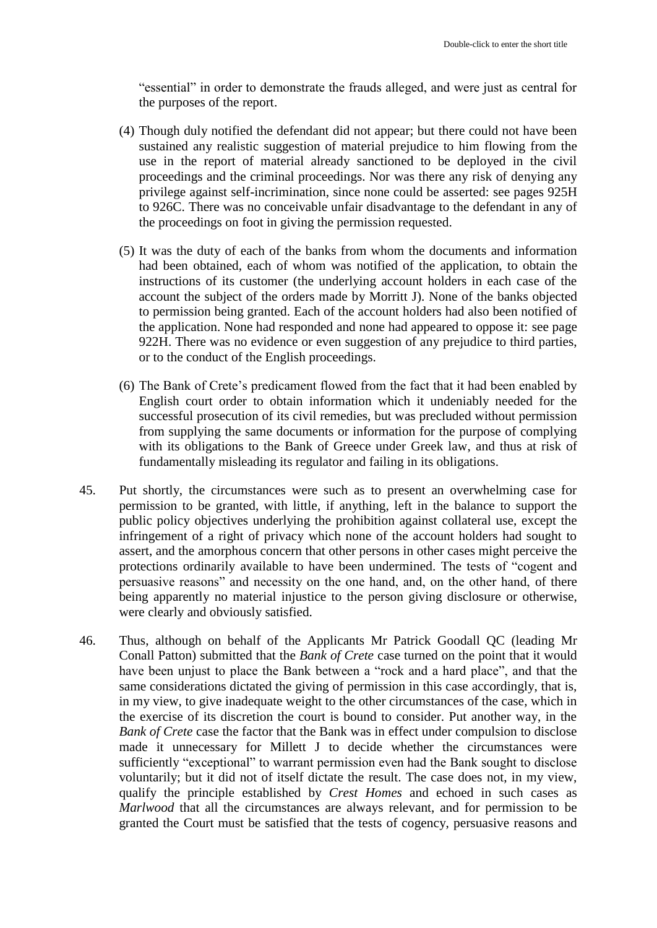"essential" in order to demonstrate the frauds alleged, and were just as central for the purposes of the report.

- (4) Though duly notified the defendant did not appear; but there could not have been sustained any realistic suggestion of material prejudice to him flowing from the use in the report of material already sanctioned to be deployed in the civil proceedings and the criminal proceedings. Nor was there any risk of denying any privilege against self-incrimination, since none could be asserted: see pages 925H to 926C. There was no conceivable unfair disadvantage to the defendant in any of the proceedings on foot in giving the permission requested.
- (5) It was the duty of each of the banks from whom the documents and information had been obtained, each of whom was notified of the application, to obtain the instructions of its customer (the underlying account holders in each case of the account the subject of the orders made by Morritt J). None of the banks objected to permission being granted. Each of the account holders had also been notified of the application. None had responded and none had appeared to oppose it: see page 922H. There was no evidence or even suggestion of any prejudice to third parties, or to the conduct of the English proceedings.
- (6) The Bank of Crete's predicament flowed from the fact that it had been enabled by English court order to obtain information which it undeniably needed for the successful prosecution of its civil remedies, but was precluded without permission from supplying the same documents or information for the purpose of complying with its obligations to the Bank of Greece under Greek law, and thus at risk of fundamentally misleading its regulator and failing in its obligations.
- 45. Put shortly, the circumstances were such as to present an overwhelming case for permission to be granted, with little, if anything, left in the balance to support the public policy objectives underlying the prohibition against collateral use, except the infringement of a right of privacy which none of the account holders had sought to assert, and the amorphous concern that other persons in other cases might perceive the protections ordinarily available to have been undermined. The tests of "cogent and persuasive reasons" and necessity on the one hand, and, on the other hand, of there being apparently no material injustice to the person giving disclosure or otherwise, were clearly and obviously satisfied.
- 46. Thus, although on behalf of the Applicants Mr Patrick Goodall QC (leading Mr Conall Patton) submitted that the *Bank of Crete* case turned on the point that it would have been unjust to place the Bank between a "rock and a hard place", and that the same considerations dictated the giving of permission in this case accordingly, that is, in my view, to give inadequate weight to the other circumstances of the case, which in the exercise of its discretion the court is bound to consider. Put another way, in the *Bank of Crete* case the factor that the Bank was in effect under compulsion to disclose made it unnecessary for Millett J to decide whether the circumstances were sufficiently "exceptional" to warrant permission even had the Bank sought to disclose voluntarily; but it did not of itself dictate the result. The case does not, in my view, qualify the principle established by *Crest Homes* and echoed in such cases as *Marlwood* that all the circumstances are always relevant, and for permission to be granted the Court must be satisfied that the tests of cogency, persuasive reasons and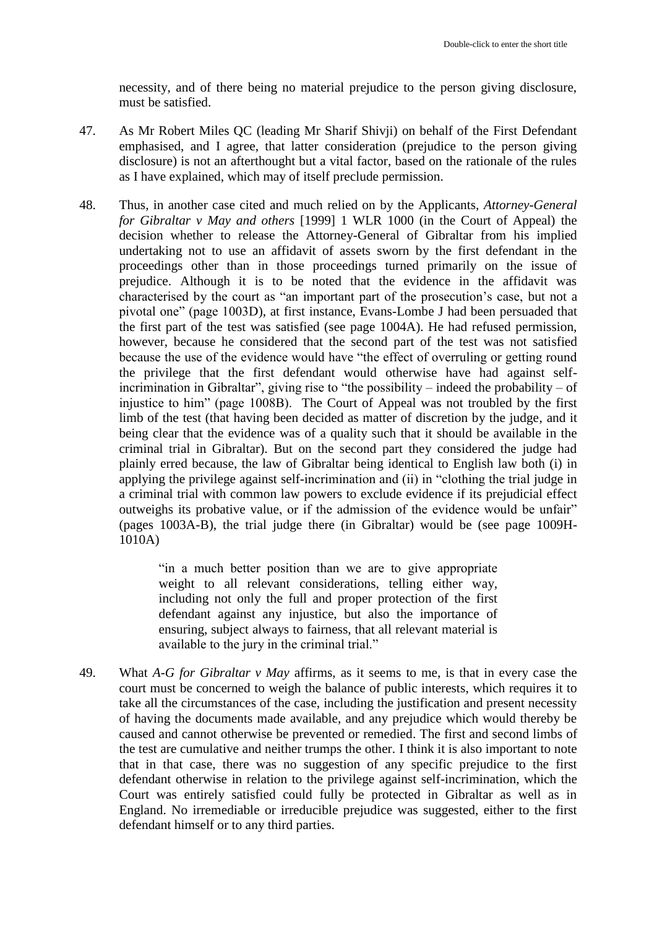necessity, and of there being no material prejudice to the person giving disclosure, must be satisfied.

- 47. As Mr Robert Miles QC (leading Mr Sharif Shivji) on behalf of the First Defendant emphasised, and I agree, that latter consideration (prejudice to the person giving disclosure) is not an afterthought but a vital factor, based on the rationale of the rules as I have explained, which may of itself preclude permission.
- 48. Thus, in another case cited and much relied on by the Applicants, *Attorney-General for Gibraltar v May and others* [1999] 1 WLR 1000 (in the Court of Appeal) the decision whether to release the Attorney-General of Gibraltar from his implied undertaking not to use an affidavit of assets sworn by the first defendant in the proceedings other than in those proceedings turned primarily on the issue of prejudice. Although it is to be noted that the evidence in the affidavit was characterised by the court as "an important part of the prosecution's case, but not a pivotal one" (page 1003D), at first instance, Evans-Lombe J had been persuaded that the first part of the test was satisfied (see page 1004A). He had refused permission, however, because he considered that the second part of the test was not satisfied because the use of the evidence would have "the effect of overruling or getting round the privilege that the first defendant would otherwise have had against selfincrimination in Gibraltar", giving rise to "the possibility – indeed the probability – of injustice to him" (page 1008B). The Court of Appeal was not troubled by the first limb of the test (that having been decided as matter of discretion by the judge, and it being clear that the evidence was of a quality such that it should be available in the criminal trial in Gibraltar). But on the second part they considered the judge had plainly erred because, the law of Gibraltar being identical to English law both (i) in applying the privilege against self-incrimination and (ii) in "clothing the trial judge in a criminal trial with common law powers to exclude evidence if its prejudicial effect outweighs its probative value, or if the admission of the evidence would be unfair" (pages 1003A-B), the trial judge there (in Gibraltar) would be (see page 1009H-1010A)

"in a much better position than we are to give appropriate weight to all relevant considerations, telling either way, including not only the full and proper protection of the first defendant against any injustice, but also the importance of ensuring, subject always to fairness, that all relevant material is available to the jury in the criminal trial."

49. What *A-G for Gibraltar v May* affirms, as it seems to me, is that in every case the court must be concerned to weigh the balance of public interests, which requires it to take all the circumstances of the case, including the justification and present necessity of having the documents made available, and any prejudice which would thereby be caused and cannot otherwise be prevented or remedied. The first and second limbs of the test are cumulative and neither trumps the other. I think it is also important to note that in that case, there was no suggestion of any specific prejudice to the first defendant otherwise in relation to the privilege against self-incrimination, which the Court was entirely satisfied could fully be protected in Gibraltar as well as in England. No irremediable or irreducible prejudice was suggested, either to the first defendant himself or to any third parties.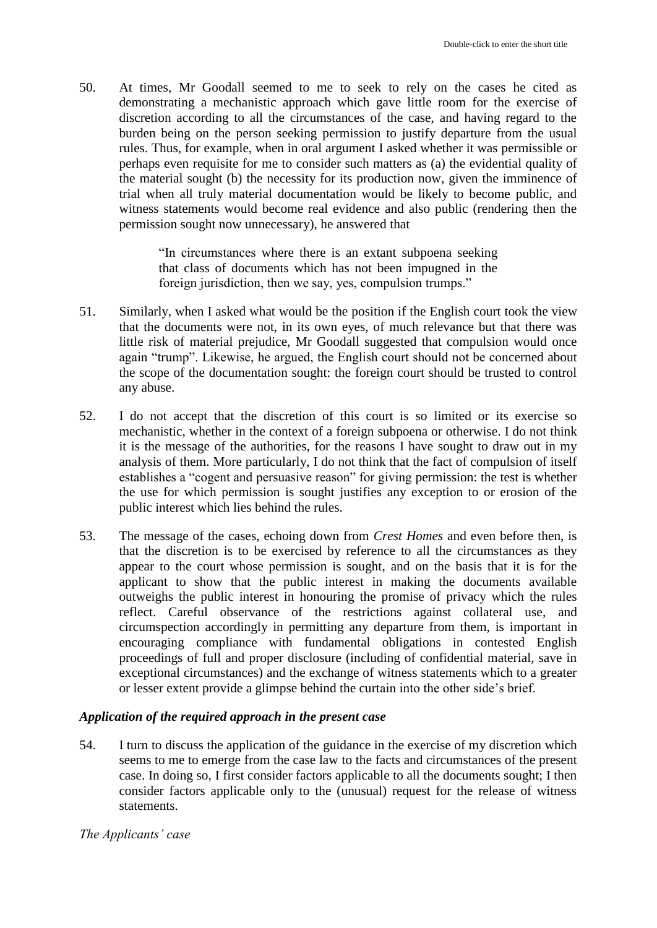50. At times, Mr Goodall seemed to me to seek to rely on the cases he cited as demonstrating a mechanistic approach which gave little room for the exercise of discretion according to all the circumstances of the case, and having regard to the burden being on the person seeking permission to justify departure from the usual rules. Thus, for example, when in oral argument I asked whether it was permissible or perhaps even requisite for me to consider such matters as (a) the evidential quality of the material sought (b) the necessity for its production now, given the imminence of trial when all truly material documentation would be likely to become public, and witness statements would become real evidence and also public (rendering then the permission sought now unnecessary), he answered that

> "In circumstances where there is an extant subpoena seeking that class of documents which has not been impugned in the foreign jurisdiction, then we say, yes, compulsion trumps."

- 51. Similarly, when I asked what would be the position if the English court took the view that the documents were not, in its own eyes, of much relevance but that there was little risk of material prejudice, Mr Goodall suggested that compulsion would once again "trump". Likewise, he argued, the English court should not be concerned about the scope of the documentation sought: the foreign court should be trusted to control any abuse.
- 52. I do not accept that the discretion of this court is so limited or its exercise so mechanistic, whether in the context of a foreign subpoena or otherwise. I do not think it is the message of the authorities, for the reasons I have sought to draw out in my analysis of them. More particularly, I do not think that the fact of compulsion of itself establishes a "cogent and persuasive reason" for giving permission: the test is whether the use for which permission is sought justifies any exception to or erosion of the public interest which lies behind the rules.
- 53. The message of the cases, echoing down from *Crest Homes* and even before then, is that the discretion is to be exercised by reference to all the circumstances as they appear to the court whose permission is sought, and on the basis that it is for the applicant to show that the public interest in making the documents available outweighs the public interest in honouring the promise of privacy which the rules reflect. Careful observance of the restrictions against collateral use, and circumspection accordingly in permitting any departure from them, is important in encouraging compliance with fundamental obligations in contested English proceedings of full and proper disclosure (including of confidential material, save in exceptional circumstances) and the exchange of witness statements which to a greater or lesser extent provide a glimpse behind the curtain into the other side's brief.

#### *Application of the required approach in the present case*

54. I turn to discuss the application of the guidance in the exercise of my discretion which seems to me to emerge from the case law to the facts and circumstances of the present case. In doing so, I first consider factors applicable to all the documents sought; I then consider factors applicable only to the (unusual) request for the release of witness statements.

#### *The Applicants' case*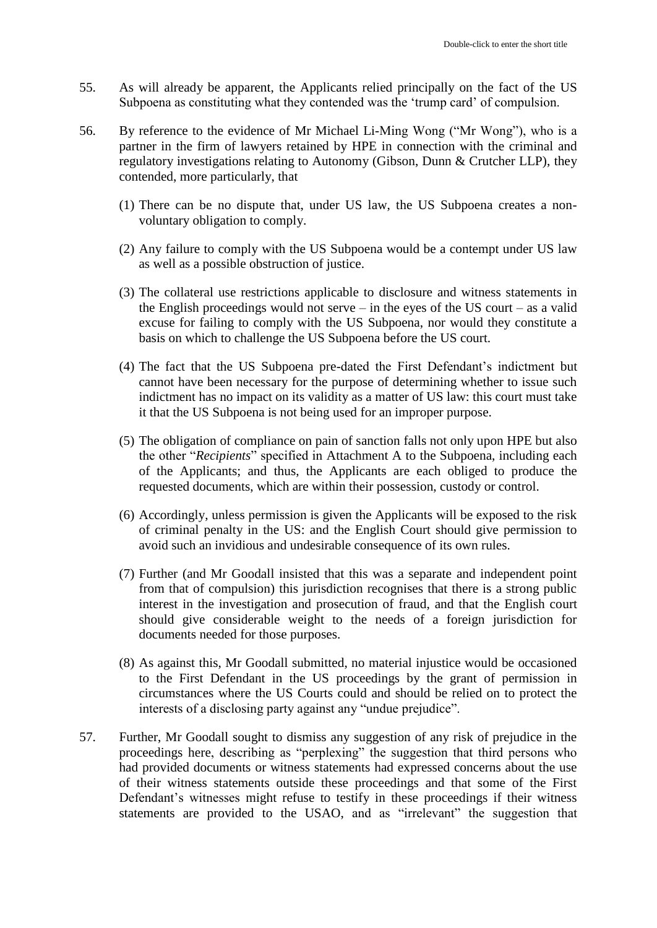- 55. As will already be apparent, the Applicants relied principally on the fact of the US Subpoena as constituting what they contended was the 'trump card' of compulsion.
- 56. By reference to the evidence of Mr Michael Li-Ming Wong ("Mr Wong"), who is a partner in the firm of lawyers retained by HPE in connection with the criminal and regulatory investigations relating to Autonomy (Gibson, Dunn & Crutcher LLP), they contended, more particularly, that
	- (1) There can be no dispute that, under US law, the US Subpoena creates a nonvoluntary obligation to comply.
	- (2) Any failure to comply with the US Subpoena would be a contempt under US law as well as a possible obstruction of justice.
	- (3) The collateral use restrictions applicable to disclosure and witness statements in the English proceedings would not serve – in the eyes of the US court – as a valid excuse for failing to comply with the US Subpoena, nor would they constitute a basis on which to challenge the US Subpoena before the US court.
	- (4) The fact that the US Subpoena pre-dated the First Defendant's indictment but cannot have been necessary for the purpose of determining whether to issue such indictment has no impact on its validity as a matter of US law: this court must take it that the US Subpoena is not being used for an improper purpose.
	- (5) The obligation of compliance on pain of sanction falls not only upon HPE but also the other "*Recipients*" specified in Attachment A to the Subpoena, including each of the Applicants; and thus, the Applicants are each obliged to produce the requested documents, which are within their possession, custody or control.
	- (6) Accordingly, unless permission is given the Applicants will be exposed to the risk of criminal penalty in the US: and the English Court should give permission to avoid such an invidious and undesirable consequence of its own rules.
	- (7) Further (and Mr Goodall insisted that this was a separate and independent point from that of compulsion) this jurisdiction recognises that there is a strong public interest in the investigation and prosecution of fraud, and that the English court should give considerable weight to the needs of a foreign jurisdiction for documents needed for those purposes.
	- (8) As against this, Mr Goodall submitted, no material injustice would be occasioned to the First Defendant in the US proceedings by the grant of permission in circumstances where the US Courts could and should be relied on to protect the interests of a disclosing party against any "undue prejudice".
- 57. Further, Mr Goodall sought to dismiss any suggestion of any risk of prejudice in the proceedings here, describing as "perplexing" the suggestion that third persons who had provided documents or witness statements had expressed concerns about the use of their witness statements outside these proceedings and that some of the First Defendant's witnesses might refuse to testify in these proceedings if their witness statements are provided to the USAO, and as "irrelevant" the suggestion that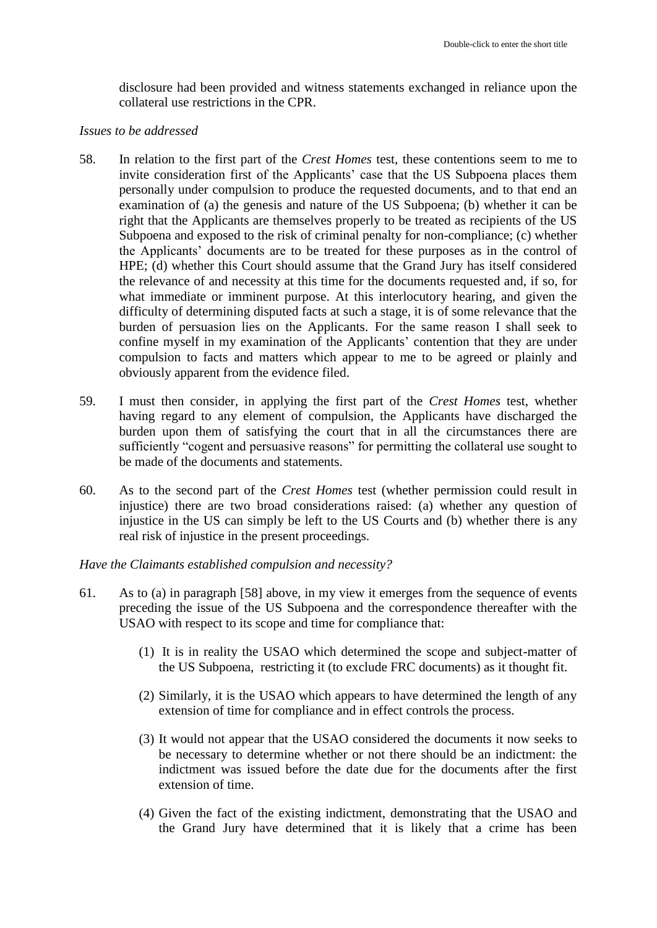disclosure had been provided and witness statements exchanged in reliance upon the collateral use restrictions in the CPR.

#### *Issues to be addressed*

- 58. In relation to the first part of the *Crest Homes* test, these contentions seem to me to invite consideration first of the Applicants' case that the US Subpoena places them personally under compulsion to produce the requested documents, and to that end an examination of (a) the genesis and nature of the US Subpoena; (b) whether it can be right that the Applicants are themselves properly to be treated as recipients of the US Subpoena and exposed to the risk of criminal penalty for non-compliance; (c) whether the Applicants' documents are to be treated for these purposes as in the control of HPE; (d) whether this Court should assume that the Grand Jury has itself considered the relevance of and necessity at this time for the documents requested and, if so, for what immediate or imminent purpose. At this interlocutory hearing, and given the difficulty of determining disputed facts at such a stage, it is of some relevance that the burden of persuasion lies on the Applicants. For the same reason I shall seek to confine myself in my examination of the Applicants' contention that they are under compulsion to facts and matters which appear to me to be agreed or plainly and obviously apparent from the evidence filed.
- 59. I must then consider, in applying the first part of the *Crest Homes* test, whether having regard to any element of compulsion, the Applicants have discharged the burden upon them of satisfying the court that in all the circumstances there are sufficiently "cogent and persuasive reasons" for permitting the collateral use sought to be made of the documents and statements.
- 60. As to the second part of the *Crest Homes* test (whether permission could result in injustice) there are two broad considerations raised: (a) whether any question of injustice in the US can simply be left to the US Courts and (b) whether there is any real risk of injustice in the present proceedings.

*Have the Claimants established compulsion and necessity?*

- 61. As to (a) in paragraph [58] above, in my view it emerges from the sequence of events preceding the issue of the US Subpoena and the correspondence thereafter with the USAO with respect to its scope and time for compliance that:
	- (1) It is in reality the USAO which determined the scope and subject-matter of the US Subpoena, restricting it (to exclude FRC documents) as it thought fit.
	- (2) Similarly, it is the USAO which appears to have determined the length of any extension of time for compliance and in effect controls the process.
	- (3) It would not appear that the USAO considered the documents it now seeks to be necessary to determine whether or not there should be an indictment: the indictment was issued before the date due for the documents after the first extension of time.
	- (4) Given the fact of the existing indictment, demonstrating that the USAO and the Grand Jury have determined that it is likely that a crime has been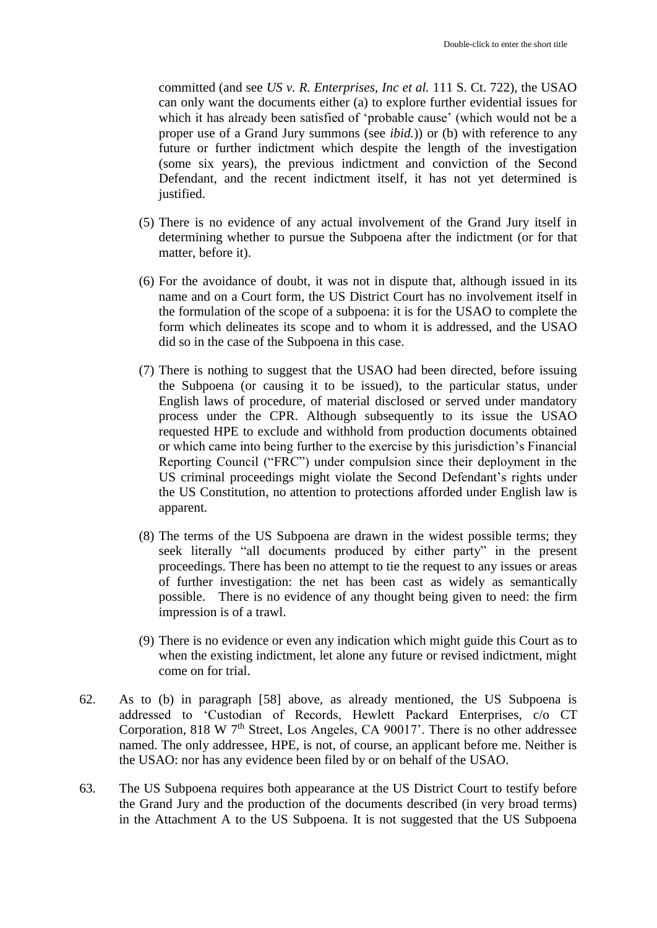committed (and see *US v. R. Enterprises, Inc et al.* 111 S. Ct. 722), the USAO can only want the documents either (a) to explore further evidential issues for which it has already been satisfied of 'probable cause' (which would not be a proper use of a Grand Jury summons (see *ibid.*)) or (b) with reference to any future or further indictment which despite the length of the investigation (some six years), the previous indictment and conviction of the Second Defendant, and the recent indictment itself, it has not yet determined is justified.

- (5) There is no evidence of any actual involvement of the Grand Jury itself in determining whether to pursue the Subpoena after the indictment (or for that matter, before it).
- (6) For the avoidance of doubt, it was not in dispute that, although issued in its name and on a Court form, the US District Court has no involvement itself in the formulation of the scope of a subpoena: it is for the USAO to complete the form which delineates its scope and to whom it is addressed, and the USAO did so in the case of the Subpoena in this case.
- (7) There is nothing to suggest that the USAO had been directed, before issuing the Subpoena (or causing it to be issued), to the particular status, under English laws of procedure, of material disclosed or served under mandatory process under the CPR. Although subsequently to its issue the USAO requested HPE to exclude and withhold from production documents obtained or which came into being further to the exercise by this jurisdiction's Financial Reporting Council ("FRC") under compulsion since their deployment in the US criminal proceedings might violate the Second Defendant's rights under the US Constitution, no attention to protections afforded under English law is apparent.
- (8) The terms of the US Subpoena are drawn in the widest possible terms; they seek literally "all documents produced by either party" in the present proceedings. There has been no attempt to tie the request to any issues or areas of further investigation: the net has been cast as widely as semantically possible. There is no evidence of any thought being given to need: the firm impression is of a trawl.
- (9) There is no evidence or even any indication which might guide this Court as to when the existing indictment, let alone any future or revised indictment, might come on for trial.
- 62. As to (b) in paragraph [58] above, as already mentioned, the US Subpoena is addressed to 'Custodian of Records, Hewlett Packard Enterprises, c/o CT Corporation, 818 W 7<sup>th</sup> Street, Los Angeles, CA 90017'. There is no other addressee named. The only addressee, HPE, is not, of course, an applicant before me. Neither is the USAO: nor has any evidence been filed by or on behalf of the USAO.
- 63. The US Subpoena requires both appearance at the US District Court to testify before the Grand Jury and the production of the documents described (in very broad terms) in the Attachment A to the US Subpoena. It is not suggested that the US Subpoena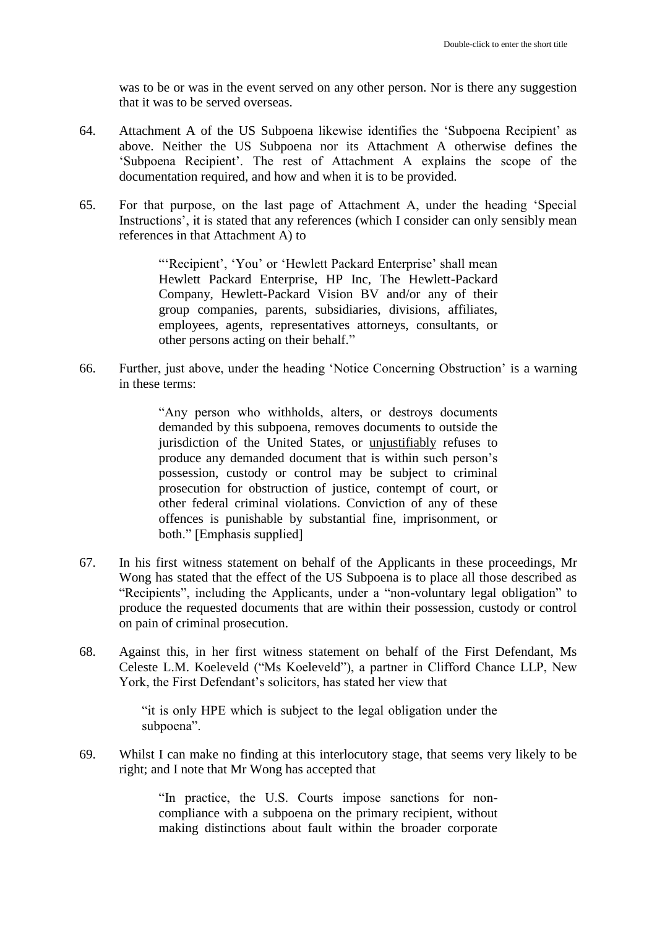was to be or was in the event served on any other person. Nor is there any suggestion that it was to be served overseas.

- 64. Attachment A of the US Subpoena likewise identifies the 'Subpoena Recipient' as above. Neither the US Subpoena nor its Attachment A otherwise defines the 'Subpoena Recipient'. The rest of Attachment A explains the scope of the documentation required, and how and when it is to be provided.
- 65. For that purpose, on the last page of Attachment A, under the heading 'Special Instructions', it is stated that any references (which I consider can only sensibly mean references in that Attachment A) to

"'Recipient', 'You' or 'Hewlett Packard Enterprise' shall mean Hewlett Packard Enterprise, HP Inc, The Hewlett-Packard Company, Hewlett-Packard Vision BV and/or any of their group companies, parents, subsidiaries, divisions, affiliates, employees, agents, representatives attorneys, consultants, or other persons acting on their behalf."

66. Further, just above, under the heading 'Notice Concerning Obstruction' is a warning in these terms:

> "Any person who withholds, alters, or destroys documents demanded by this subpoena, removes documents to outside the jurisdiction of the United States, or unjustifiably refuses to produce any demanded document that is within such person's possession, custody or control may be subject to criminal prosecution for obstruction of justice, contempt of court, or other federal criminal violations. Conviction of any of these offences is punishable by substantial fine, imprisonment, or both." [Emphasis supplied]

- 67. In his first witness statement on behalf of the Applicants in these proceedings, Mr Wong has stated that the effect of the US Subpoena is to place all those described as "Recipients", including the Applicants, under a "non-voluntary legal obligation" to produce the requested documents that are within their possession, custody or control on pain of criminal prosecution.
- 68. Against this, in her first witness statement on behalf of the First Defendant, Ms Celeste L.M. Koeleveld ("Ms Koeleveld"), a partner in Clifford Chance LLP, New York, the First Defendant's solicitors, has stated her view that

"it is only HPE which is subject to the legal obligation under the subpoena".

69. Whilst I can make no finding at this interlocutory stage, that seems very likely to be right; and I note that Mr Wong has accepted that

> "In practice, the U.S. Courts impose sanctions for noncompliance with a subpoena on the primary recipient, without making distinctions about fault within the broader corporate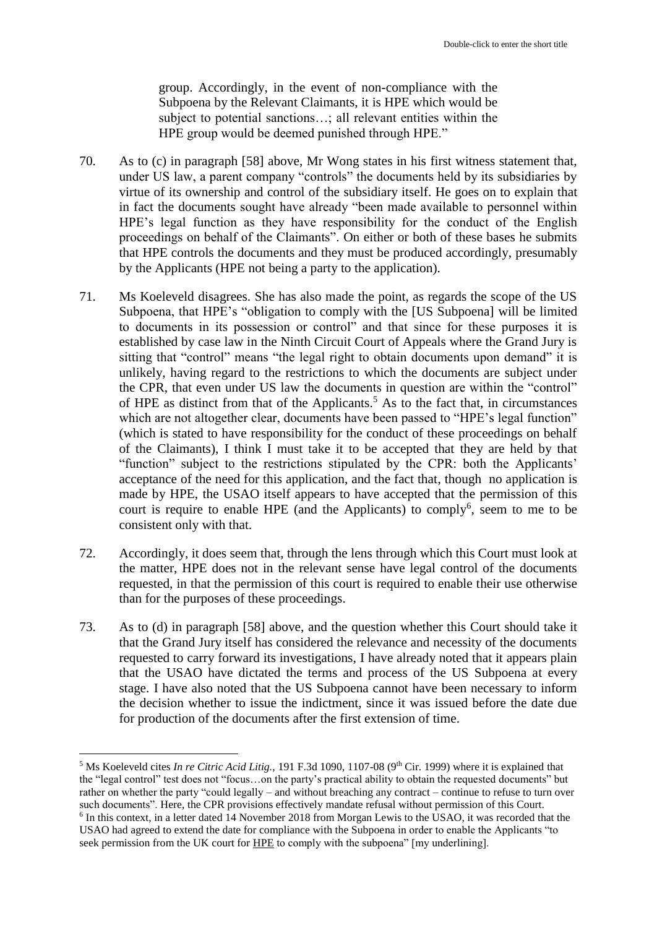group. Accordingly, in the event of non-compliance with the Subpoena by the Relevant Claimants, it is HPE which would be subject to potential sanctions…; all relevant entities within the HPE group would be deemed punished through HPE."

- 70. As to (c) in paragraph [58] above, Mr Wong states in his first witness statement that, under US law, a parent company "controls" the documents held by its subsidiaries by virtue of its ownership and control of the subsidiary itself. He goes on to explain that in fact the documents sought have already "been made available to personnel within HPE's legal function as they have responsibility for the conduct of the English proceedings on behalf of the Claimants". On either or both of these bases he submits that HPE controls the documents and they must be produced accordingly, presumably by the Applicants (HPE not being a party to the application).
- 71. Ms Koeleveld disagrees. She has also made the point, as regards the scope of the US Subpoena, that HPE's "obligation to comply with the [US Subpoena] will be limited to documents in its possession or control" and that since for these purposes it is established by case law in the Ninth Circuit Court of Appeals where the Grand Jury is sitting that "control" means "the legal right to obtain documents upon demand" it is unlikely, having regard to the restrictions to which the documents are subject under the CPR, that even under US law the documents in question are within the "control" of HPE as distinct from that of the Applicants.<sup>5</sup> As to the fact that, in circumstances which are not altogether clear, documents have been passed to "HPE's legal function" (which is stated to have responsibility for the conduct of these proceedings on behalf of the Claimants), I think I must take it to be accepted that they are held by that "function" subject to the restrictions stipulated by the CPR: both the Applicants' acceptance of the need for this application, and the fact that, though no application is made by HPE, the USAO itself appears to have accepted that the permission of this court is require to enable HPE (and the Applicants) to comply<sup>6</sup>, seem to me to be consistent only with that.
- 72. Accordingly, it does seem that, through the lens through which this Court must look at the matter, HPE does not in the relevant sense have legal control of the documents requested, in that the permission of this court is required to enable their use otherwise than for the purposes of these proceedings.
- 73. As to (d) in paragraph [58] above, and the question whether this Court should take it that the Grand Jury itself has considered the relevance and necessity of the documents requested to carry forward its investigations, I have already noted that it appears plain that the USAO have dictated the terms and process of the US Subpoena at every stage. I have also noted that the US Subpoena cannot have been necessary to inform the decision whether to issue the indictment, since it was issued before the date due for production of the documents after the first extension of time.

1

<sup>&</sup>lt;sup>5</sup> Ms Koeleveld cites *In re Citric Acid Litig.*, 191 F.3d 1090, 1107-08 (9<sup>th</sup> Cir. 1999) where it is explained that the "legal control" test does not "focus…on the party's practical ability to obtain the requested documents" but rather on whether the party "could legally – and without breaching any contract – continue to refuse to turn over such documents". Here, the CPR provisions effectively mandate refusal without permission of this Court. <sup>6</sup> In this context, in a letter dated 14 November 2018 from Morgan Lewis to the USAO, it was recorded that the USAO had agreed to extend the date for compliance with the Subpoena in order to enable the Applicants "to seek permission from the UK court for HPE to comply with the subpoena" [my underlining].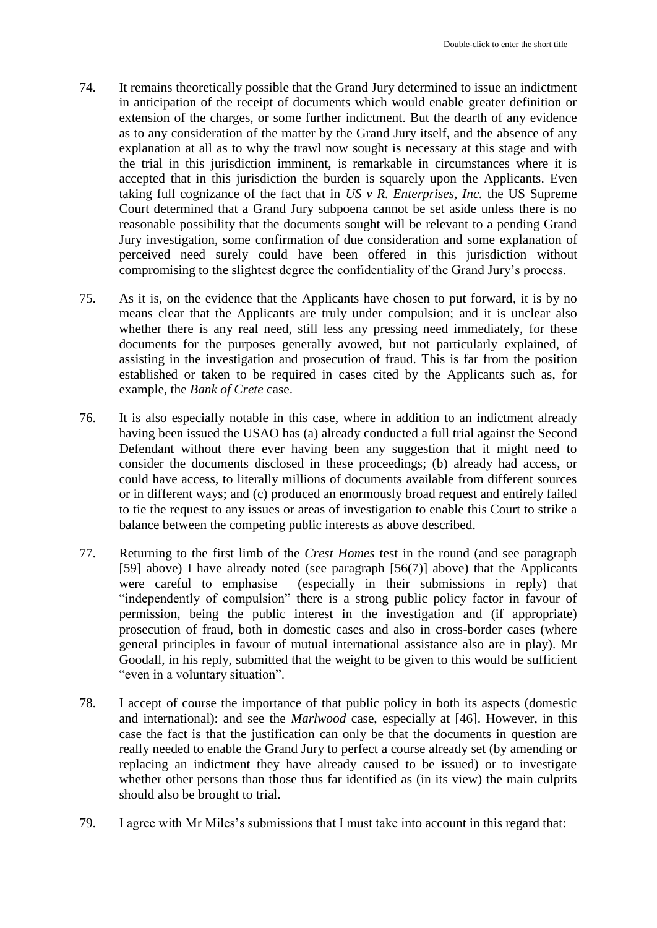- 74. It remains theoretically possible that the Grand Jury determined to issue an indictment in anticipation of the receipt of documents which would enable greater definition or extension of the charges, or some further indictment. But the dearth of any evidence as to any consideration of the matter by the Grand Jury itself, and the absence of any explanation at all as to why the trawl now sought is necessary at this stage and with the trial in this jurisdiction imminent, is remarkable in circumstances where it is accepted that in this jurisdiction the burden is squarely upon the Applicants. Even taking full cognizance of the fact that in *US v R. Enterprises, Inc.* the US Supreme Court determined that a Grand Jury subpoena cannot be set aside unless there is no reasonable possibility that the documents sought will be relevant to a pending Grand Jury investigation, some confirmation of due consideration and some explanation of perceived need surely could have been offered in this jurisdiction without compromising to the slightest degree the confidentiality of the Grand Jury's process.
- 75. As it is, on the evidence that the Applicants have chosen to put forward, it is by no means clear that the Applicants are truly under compulsion; and it is unclear also whether there is any real need, still less any pressing need immediately, for these documents for the purposes generally avowed, but not particularly explained, of assisting in the investigation and prosecution of fraud. This is far from the position established or taken to be required in cases cited by the Applicants such as, for example, the *Bank of Crete* case.
- 76. It is also especially notable in this case, where in addition to an indictment already having been issued the USAO has (a) already conducted a full trial against the Second Defendant without there ever having been any suggestion that it might need to consider the documents disclosed in these proceedings; (b) already had access, or could have access, to literally millions of documents available from different sources or in different ways; and (c) produced an enormously broad request and entirely failed to tie the request to any issues or areas of investigation to enable this Court to strike a balance between the competing public interests as above described.
- 77. Returning to the first limb of the *Crest Homes* test in the round (and see paragraph [59] above) I have already noted (see paragraph [56(7)] above) that the Applicants were careful to emphasise (especially in their submissions in reply) that "independently of compulsion" there is a strong public policy factor in favour of permission, being the public interest in the investigation and (if appropriate) prosecution of fraud, both in domestic cases and also in cross-border cases (where general principles in favour of mutual international assistance also are in play). Mr Goodall, in his reply, submitted that the weight to be given to this would be sufficient "even in a voluntary situation".
- 78. I accept of course the importance of that public policy in both its aspects (domestic and international): and see the *Marlwood* case, especially at [46]. However, in this case the fact is that the justification can only be that the documents in question are really needed to enable the Grand Jury to perfect a course already set (by amending or replacing an indictment they have already caused to be issued) or to investigate whether other persons than those thus far identified as (in its view) the main culprits should also be brought to trial.
- 79. I agree with Mr Miles's submissions that I must take into account in this regard that: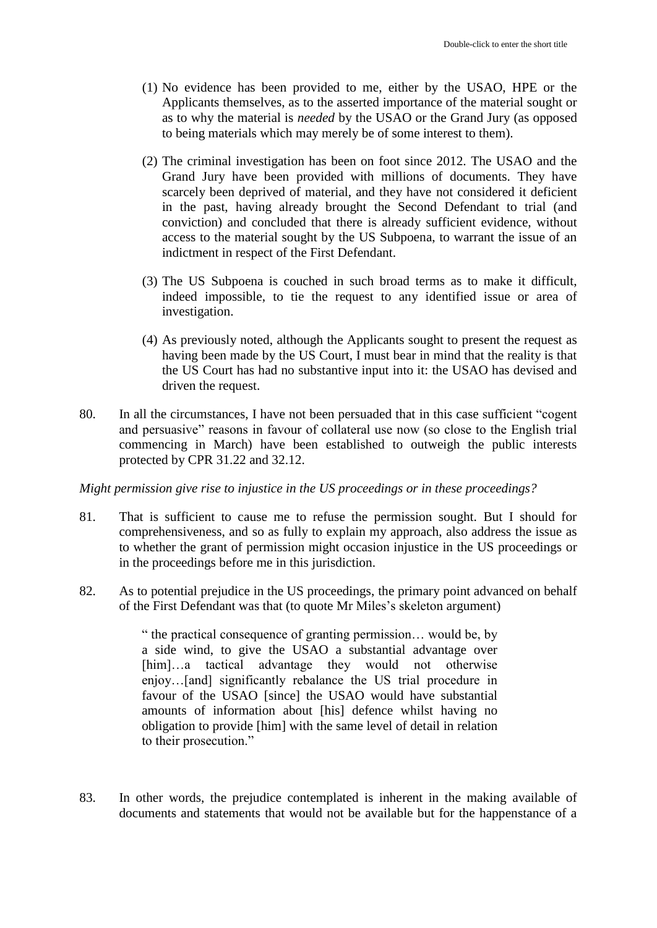- (1) No evidence has been provided to me, either by the USAO, HPE or the Applicants themselves, as to the asserted importance of the material sought or as to why the material is *needed* by the USAO or the Grand Jury (as opposed to being materials which may merely be of some interest to them).
- (2) The criminal investigation has been on foot since 2012. The USAO and the Grand Jury have been provided with millions of documents. They have scarcely been deprived of material, and they have not considered it deficient in the past, having already brought the Second Defendant to trial (and conviction) and concluded that there is already sufficient evidence, without access to the material sought by the US Subpoena, to warrant the issue of an indictment in respect of the First Defendant.
- (3) The US Subpoena is couched in such broad terms as to make it difficult, indeed impossible, to tie the request to any identified issue or area of investigation.
- (4) As previously noted, although the Applicants sought to present the request as having been made by the US Court, I must bear in mind that the reality is that the US Court has had no substantive input into it: the USAO has devised and driven the request.
- 80. In all the circumstances, I have not been persuaded that in this case sufficient "cogent and persuasive" reasons in favour of collateral use now (so close to the English trial commencing in March) have been established to outweigh the public interests protected by CPR 31.22 and 32.12.

*Might permission give rise to injustice in the US proceedings or in these proceedings?*

- 81. That is sufficient to cause me to refuse the permission sought. But I should for comprehensiveness, and so as fully to explain my approach, also address the issue as to whether the grant of permission might occasion injustice in the US proceedings or in the proceedings before me in this jurisdiction.
- 82. As to potential prejudice in the US proceedings, the primary point advanced on behalf of the First Defendant was that (to quote Mr Miles's skeleton argument)

" the practical consequence of granting permission… would be, by a side wind, to give the USAO a substantial advantage over [him]…a tactical advantage they would not otherwise enjoy…[and] significantly rebalance the US trial procedure in favour of the USAO [since] the USAO would have substantial amounts of information about [his] defence whilst having no obligation to provide [him] with the same level of detail in relation to their prosecution."

83. In other words, the prejudice contemplated is inherent in the making available of documents and statements that would not be available but for the happenstance of a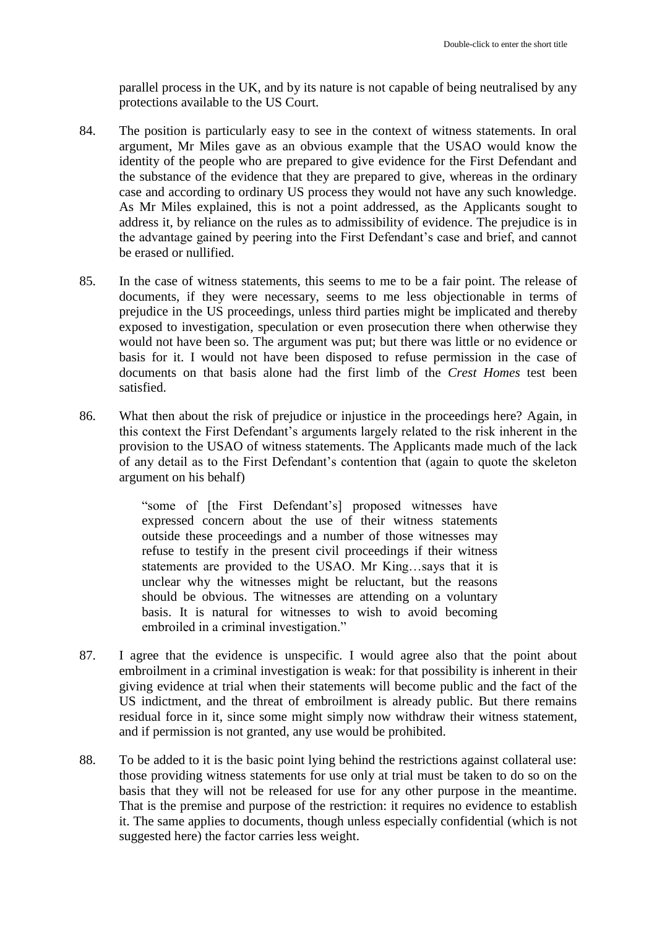parallel process in the UK, and by its nature is not capable of being neutralised by any protections available to the US Court.

- 84. The position is particularly easy to see in the context of witness statements. In oral argument, Mr Miles gave as an obvious example that the USAO would know the identity of the people who are prepared to give evidence for the First Defendant and the substance of the evidence that they are prepared to give, whereas in the ordinary case and according to ordinary US process they would not have any such knowledge. As Mr Miles explained, this is not a point addressed, as the Applicants sought to address it, by reliance on the rules as to admissibility of evidence. The prejudice is in the advantage gained by peering into the First Defendant's case and brief, and cannot be erased or nullified.
- 85. In the case of witness statements, this seems to me to be a fair point. The release of documents, if they were necessary, seems to me less objectionable in terms of prejudice in the US proceedings, unless third parties might be implicated and thereby exposed to investigation, speculation or even prosecution there when otherwise they would not have been so. The argument was put; but there was little or no evidence or basis for it. I would not have been disposed to refuse permission in the case of documents on that basis alone had the first limb of the *Crest Homes* test been satisfied.
- 86. What then about the risk of prejudice or injustice in the proceedings here? Again, in this context the First Defendant's arguments largely related to the risk inherent in the provision to the USAO of witness statements. The Applicants made much of the lack of any detail as to the First Defendant's contention that (again to quote the skeleton argument on his behalf)

"some of [the First Defendant's] proposed witnesses have expressed concern about the use of their witness statements outside these proceedings and a number of those witnesses may refuse to testify in the present civil proceedings if their witness statements are provided to the USAO. Mr King…says that it is unclear why the witnesses might be reluctant, but the reasons should be obvious. The witnesses are attending on a voluntary basis. It is natural for witnesses to wish to avoid becoming embroiled in a criminal investigation."

- 87. I agree that the evidence is unspecific. I would agree also that the point about embroilment in a criminal investigation is weak: for that possibility is inherent in their giving evidence at trial when their statements will become public and the fact of the US indictment, and the threat of embroilment is already public. But there remains residual force in it, since some might simply now withdraw their witness statement, and if permission is not granted, any use would be prohibited.
- 88. To be added to it is the basic point lying behind the restrictions against collateral use: those providing witness statements for use only at trial must be taken to do so on the basis that they will not be released for use for any other purpose in the meantime. That is the premise and purpose of the restriction: it requires no evidence to establish it. The same applies to documents, though unless especially confidential (which is not suggested here) the factor carries less weight.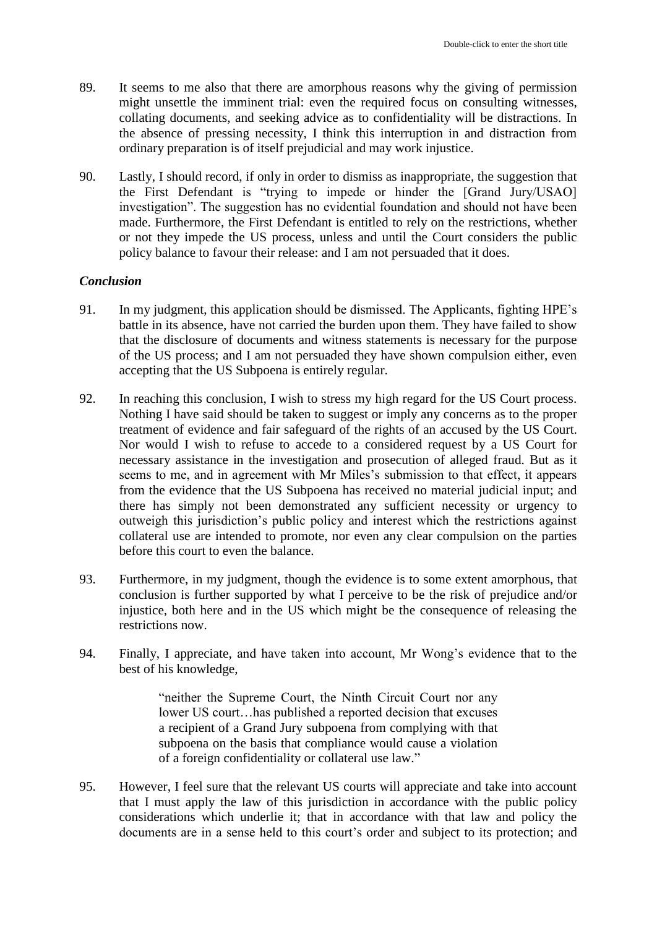- 89. It seems to me also that there are amorphous reasons why the giving of permission might unsettle the imminent trial: even the required focus on consulting witnesses, collating documents, and seeking advice as to confidentiality will be distractions. In the absence of pressing necessity, I think this interruption in and distraction from ordinary preparation is of itself prejudicial and may work injustice.
- 90. Lastly, I should record, if only in order to dismiss as inappropriate, the suggestion that the First Defendant is "trying to impede or hinder the [Grand Jury/USAO] investigation". The suggestion has no evidential foundation and should not have been made. Furthermore, the First Defendant is entitled to rely on the restrictions, whether or not they impede the US process, unless and until the Court considers the public policy balance to favour their release: and I am not persuaded that it does.

### *Conclusion*

- 91. In my judgment, this application should be dismissed. The Applicants, fighting HPE's battle in its absence, have not carried the burden upon them. They have failed to show that the disclosure of documents and witness statements is necessary for the purpose of the US process; and I am not persuaded they have shown compulsion either, even accepting that the US Subpoena is entirely regular.
- 92. In reaching this conclusion, I wish to stress my high regard for the US Court process. Nothing I have said should be taken to suggest or imply any concerns as to the proper treatment of evidence and fair safeguard of the rights of an accused by the US Court. Nor would I wish to refuse to accede to a considered request by a US Court for necessary assistance in the investigation and prosecution of alleged fraud. But as it seems to me, and in agreement with Mr Miles's submission to that effect, it appears from the evidence that the US Subpoena has received no material judicial input; and there has simply not been demonstrated any sufficient necessity or urgency to outweigh this jurisdiction's public policy and interest which the restrictions against collateral use are intended to promote, nor even any clear compulsion on the parties before this court to even the balance.
- 93. Furthermore, in my judgment, though the evidence is to some extent amorphous, that conclusion is further supported by what I perceive to be the risk of prejudice and/or injustice, both here and in the US which might be the consequence of releasing the restrictions now.
- 94. Finally, I appreciate, and have taken into account, Mr Wong's evidence that to the best of his knowledge,

"neither the Supreme Court, the Ninth Circuit Court nor any lower US court…has published a reported decision that excuses a recipient of a Grand Jury subpoena from complying with that subpoena on the basis that compliance would cause a violation of a foreign confidentiality or collateral use law."

95. However, I feel sure that the relevant US courts will appreciate and take into account that I must apply the law of this jurisdiction in accordance with the public policy considerations which underlie it; that in accordance with that law and policy the documents are in a sense held to this court's order and subject to its protection; and